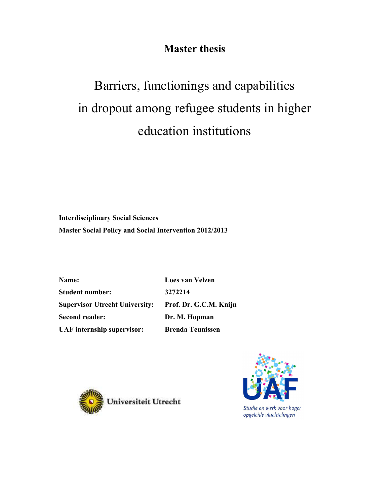## **Master thesis**

# Barriers, functionings and capabilities in dropout among refugee students in higher education institutions

**Interdisciplinary Social Sciences Master Social Policy and Social Intervention 2012/2013** 

**Name: Loes van Velzen Student number: 3272214 Supervisor Utrecht University: Prof. Dr. G.C.M. Knijn Second reader: Dr. M. Hopman UAF internship supervisor: Brenda Teunissen** 

Universiteit Utrecht



Studie en werk voor hoger opgeleide vluchtelingen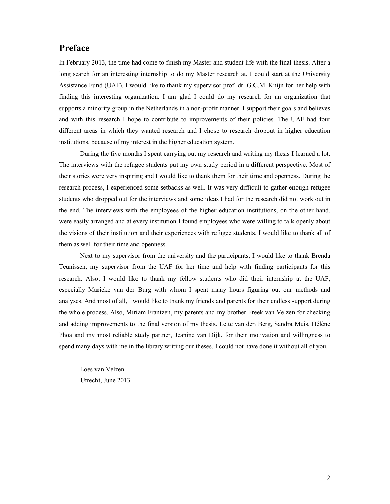## **Preface**

In February 2013, the time had come to finish my Master and student life with the final thesis. After a long search for an interesting internship to do my Master research at, I could start at the University Assistance Fund (UAF). I would like to thank my supervisor prof. dr. G.C.M. Knijn for her help with finding this interesting organization. I am glad I could do my research for an organization that supports a minority group in the Netherlands in a non-profit manner. I support their goals and believes and with this research I hope to contribute to improvements of their policies. The UAF had four different areas in which they wanted research and I chose to research dropout in higher education institutions, because of my interest in the higher education system.

 During the five months I spent carrying out my research and writing my thesis I learned a lot. The interviews with the refugee students put my own study period in a different perspective. Most of their stories were very inspiring and I would like to thank them for their time and openness. During the research process, I experienced some setbacks as well. It was very difficult to gather enough refugee students who dropped out for the interviews and some ideas I had for the research did not work out in the end. The interviews with the employees of the higher education institutions, on the other hand, were easily arranged and at every institution I found employees who were willing to talk openly about the visions of their institution and their experiences with refugee students. I would like to thank all of them as well for their time and openness.

 Next to my supervisor from the university and the participants, I would like to thank Brenda Teunissen, my supervisor from the UAF for her time and help with finding participants for this research. Also, I would like to thank my fellow students who did their internship at the UAF, especially Marieke van der Burg with whom I spent many hours figuring out our methods and analyses. And most of all, I would like to thank my friends and parents for their endless support during the whole process. Also, Miriam Frantzen, my parents and my brother Freek van Velzen for checking and adding improvements to the final version of my thesis. Lette van den Berg, Sandra Muis, Hélène Phoa and my most reliable study partner, Jeanine van Dijk, for their motivation and willingness to spend many days with me in the library writing our theses. I could not have done it without all of you.

Loes van Velzen Utrecht, June 2013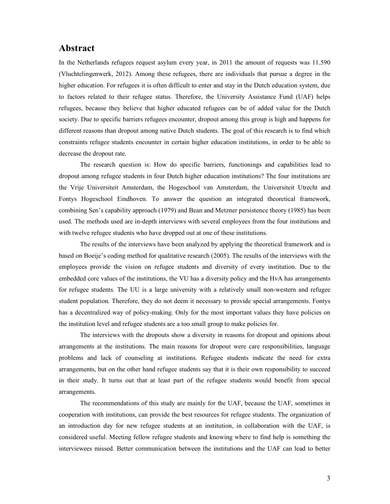## **Abstract**

In the Netherlands refugees request asylum every year, in 2011 the amount of requests was 11.590 (Vluchtelingenwerk, 2012). Among these refugees, there are individuals that pursue a degree in the higher education. For refugees it is often difficult to enter and stay in the Dutch education system, due to factors related to their refugee status. Therefore, the University Assistance Fund (UAF) helps refugees, because they believe that higher educated refugees can be of added value for the Dutch society. Due to specific barriers refugees encounter, dropout among this group is high and happens for different reasons than dropout among native Dutch students. The goal of this research is to find which constraints refugee students encounter in certain higher education institutions, in order to be able to decrease the dropout rate.

 The research question is: How do specific barriers, functionings and capabilities lead to dropout among refugee students in four Dutch higher education institutions? The four institutions are the Vrije Universiteit Amsterdam, the Hogeschool van Amsterdam, the Universiteit Utrecht and Fontys Hogeschool Eindhoven. To answer the question an integrated theoretical framework, combining Sen's capability approach (1979) and Bean and Metzner persistence theory (1985) has been used. The methods used are in-depth interviews with several employees from the four institutions and with twelve refugee students who have dropped out at one of these institutions.

The results of the interviews have been analyzed by applying the theoretical framework and is based on Boeije's coding method for qualitative research (2005). The results of the interviews with the employees provide the vision on refugee students and diversity of every institution. Due to the embedded core values of the institutions, the VU has a diversity policy and the HvA has arrangements for refugee students. The UU is a large university with a relatively small non-western and refugee student population. Therefore, they do not deem it necessary to provide special arrangements. Fontys has a decentralized way of policy-making. Only for the most important values they have policies on the institution level and refugee students are a too small group to make policies for.

The interviews with the dropouts show a diversity in reasons for dropout and opinions about arrangements at the institutions. The main reasons for dropout were care responsibilities, language problems and lack of counseling at institutions. Refugee students indicate the need for extra arrangements, but on the other hand refugee students say that it is their own responsibility to succeed in their study. It turns out that at least part of the refugee students would benefit from special arrangements.

 The recommendations of this study are mainly for the UAF, because the UAF, sometimes in cooperation with institutions, can provide the best resources for refugee students. The organization of an introduction day for new refugee students at an institution, in collaboration with the UAF, is considered useful. Meeting fellow refugee students and knowing where to find help is something the interviewees missed. Better communication between the institutions and the UAF can lead to better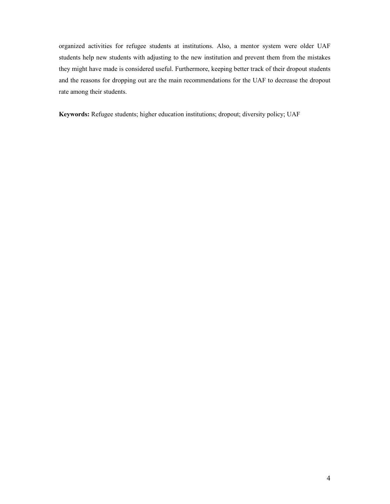organized activities for refugee students at institutions. Also, a mentor system were older UAF students help new students with adjusting to the new institution and prevent them from the mistakes they might have made is considered useful. Furthermore, keeping better track of their dropout students and the reasons for dropping out are the main recommendations for the UAF to decrease the dropout rate among their students.

**Keywords:** Refugee students; higher education institutions; dropout; diversity policy; UAF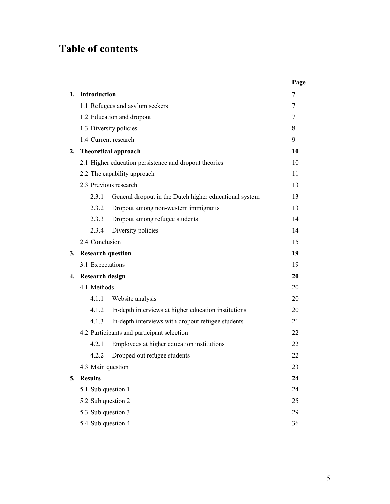## **Table of contents**

|    |                          |                                                        | Page |
|----|--------------------------|--------------------------------------------------------|------|
| 1. | Introduction             |                                                        | 7    |
|    |                          | 1.1 Refugees and asylum seekers                        | 7    |
|    |                          | 1.2 Education and dropout                              | 7    |
|    |                          | 1.3 Diversity policies                                 | 8    |
|    |                          | 1.4 Current research                                   | 9    |
| 2. |                          | <b>Theoretical approach</b>                            | 10   |
|    |                          | 2.1 Higher education persistence and dropout theories  | 10   |
|    |                          | 2.2 The capability approach                            | 11   |
|    |                          | 2.3 Previous research                                  | 13   |
|    | 2.3.1                    | General dropout in the Dutch higher educational system | 13   |
|    | 2.3.2                    | Dropout among non-western immigrants                   | 13   |
|    | 2.3.3                    | Dropout among refugee students                         | 14   |
|    | 2.3.4                    | Diversity policies                                     | 14   |
|    | 2.4 Conclusion           |                                                        | 15   |
| 3. | <b>Research question</b> |                                                        | 19   |
|    | 3.1 Expectations         |                                                        | 19   |
| 4. | <b>Research design</b>   |                                                        |      |
|    | 4.1 Methods              |                                                        | 20   |
|    | 4.1.1                    | Website analysis                                       | 20   |
|    | 4.1.2                    | In-depth interviews at higher education institutions   | 20   |
|    | 4.1.3                    | In-depth interviews with dropout refugee students      | 21   |
|    |                          | 4.2 Participants and participant selection             | 22   |
|    | 4.2.1                    | Employees at higher education institutions             | 22   |
|    | 4.2.2                    | Dropped out refugee students                           | 22   |
|    | 4.3 Main question        |                                                        | 23   |
| 5. | <b>Results</b>           |                                                        |      |
|    | 5.1 Sub question 1       |                                                        |      |
|    | 5.2 Sub question 2       |                                                        |      |
|    | 5.3 Sub question 3       |                                                        |      |
|    | 5.4 Sub question 4       |                                                        |      |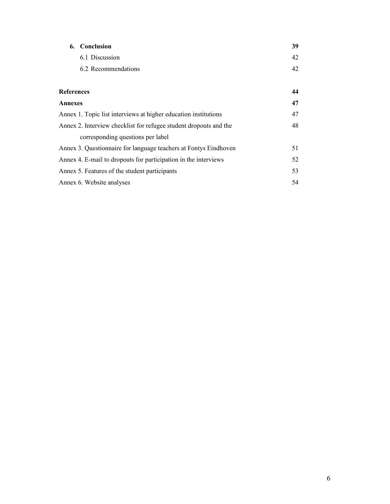| 6. Conclusion                                                     | 39 |  |
|-------------------------------------------------------------------|----|--|
| 6.1 Discussion                                                    | 42 |  |
| 6.2 Recommendations                                               | 42 |  |
|                                                                   |    |  |
| <b>References</b>                                                 | 44 |  |
| <b>Annexes</b>                                                    | 47 |  |
| Annex 1. Topic list interviews at higher education institutions   | 47 |  |
| Annex 2. Interview checklist for refugee student dropouts and the | 48 |  |
| corresponding questions per label                                 |    |  |
| Annex 3. Questionnaire for language teachers at Fontys Eindhoven  | 51 |  |
| Annex 4. E-mail to dropouts for participation in the interviews   |    |  |
| Annex 5. Features of the student participants                     |    |  |
| Annex 6. Website analyses                                         | 54 |  |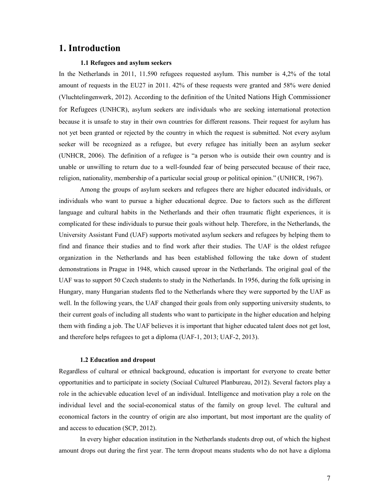## **1. Introduction**

#### **1.1 Refugees and asylum seekers**

In the Netherlands in 2011, 11.590 refugees requested asylum. This number is 4,2% of the total amount of requests in the EU27 in 2011. 42% of these requests were granted and 58% were denied (Vluchtelingenwerk, 2012). According to the definition of the United Nations High Commissioner for Refugees (UNHCR), asylum seekers are individuals who are seeking international protection because it is unsafe to stay in their own countries for different reasons. Their request for asylum has not yet been granted or rejected by the country in which the request is submitted. Not every asylum seeker will be recognized as a refugee, but every refugee has initially been an asylum seeker (UNHCR, 2006). The definition of a refugee is "a person who is outside their own country and is unable or unwilling to return due to a well-founded fear of being persecuted because of their race, religion, nationality, membership of a particular social group or political opinion." (UNHCR, 1967).

Among the groups of asylum seekers and refugees there are higher educated individuals, or individuals who want to pursue a higher educational degree. Due to factors such as the different language and cultural habits in the Netherlands and their often traumatic flight experiences, it is complicated for these individuals to pursue their goals without help. Therefore, in the Netherlands, the University Assistant Fund (UAF) supports motivated asylum seekers and refugees by helping them to find and finance their studies and to find work after their studies. The UAF is the oldest refugee organization in the Netherlands and has been established following the take down of student demonstrations in Prague in 1948, which caused uproar in the Netherlands. The original goal of the UAF was to support 50 Czech students to study in the Netherlands. In 1956, during the folk uprising in Hungary, many Hungarian students fled to the Netherlands where they were supported by the UAF as well. In the following years, the UAF changed their goals from only supporting university students, to their current goals of including all students who want to participate in the higher education and helping them with finding a job. The UAF believes it is important that higher educated talent does not get lost, and therefore helps refugees to get a diploma (UAF-1, 2013; UAF-2, 2013).

#### **1.2 Education and dropout**

Regardless of cultural or ethnical background, education is important for everyone to create better opportunities and to participate in society (Sociaal Cultureel Planbureau, 2012). Several factors play a role in the achievable education level of an individual. Intelligence and motivation play a role on the individual level and the social-economical status of the family on group level. The cultural and economical factors in the country of origin are also important, but most important are the quality of and access to education (SCP, 2012).

In every higher education institution in the Netherlands students drop out, of which the highest amount drops out during the first year. The term dropout means students who do not have a diploma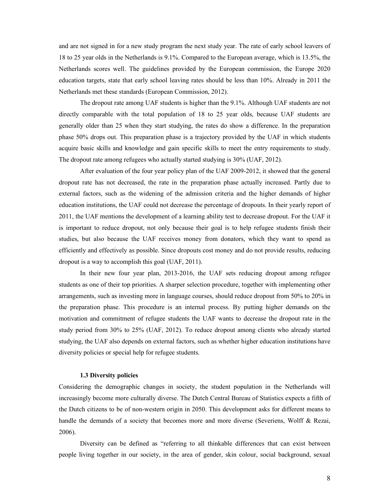and are not signed in for a new study program the next study year. The rate of early school leavers of 18 to 25 year olds in the Netherlands is 9.1%. Compared to the European average, which is 13.5%, the Netherlands scores well. The guidelines provided by the European commission, the Europe 2020 education targets, state that early school leaving rates should be less than 10%. Already in 2011 the Netherlands met these standards (European Commission, 2012).

The dropout rate among UAF students is higher than the 9.1%. Although UAF students are not directly comparable with the total population of 18 to 25 year olds, because UAF students are generally older than 25 when they start studying, the rates do show a difference. In the preparation phase 50% drops out. This preparation phase is a trajectory provided by the UAF in which students acquire basic skills and knowledge and gain specific skills to meet the entry requirements to study. The dropout rate among refugees who actually started studying is 30% (UAF, 2012).

After evaluation of the four year policy plan of the UAF 2009-2012, it showed that the general dropout rate has not decreased, the rate in the preparation phase actually increased. Partly due to external factors, such as the widening of the admission criteria and the higher demands of higher education institutions, the UAF could not decrease the percentage of dropouts. In their yearly report of 2011, the UAF mentions the development of a learning ability test to decrease dropout. For the UAF it is important to reduce dropout, not only because their goal is to help refugee students finish their studies, but also because the UAF receives money from donators, which they want to spend as efficiently and effectively as possible. Since dropouts cost money and do not provide results, reducing dropout is a way to accomplish this goal (UAF, 2011).

In their new four year plan, 2013-2016, the UAF sets reducing dropout among refugee students as one of their top priorities. A sharper selection procedure, together with implementing other arrangements, such as investing more in language courses, should reduce dropout from 50% to 20% in the preparation phase. This procedure is an internal process. By putting higher demands on the motivation and commitment of refugee students the UAF wants to decrease the dropout rate in the study period from 30% to 25% (UAF, 2012). To reduce dropout among clients who already started studying, the UAF also depends on external factors, such as whether higher education institutions have diversity policies or special help for refugee students.

#### **1.3 Diversity policies**

Considering the demographic changes in society, the student population in the Netherlands will increasingly become more culturally diverse. The Dutch Central Bureau of Statistics expects a fifth of the Dutch citizens to be of non-western origin in 2050. This development asks for different means to handle the demands of a society that becomes more and more diverse (Severiens, Wolff & Rezai, 2006).

 Diversity can be defined as "referring to all thinkable differences that can exist between people living together in our society, in the area of gender, skin colour, social background, sexual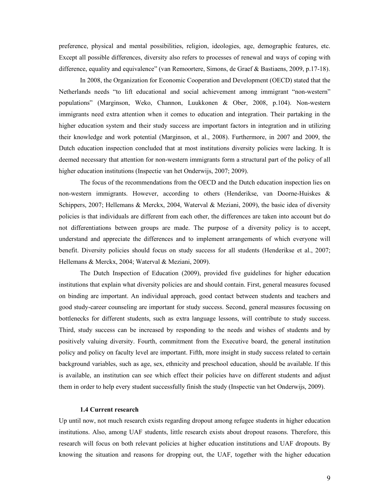preference, physical and mental possibilities, religion, ideologies, age, demographic features, etc. Except all possible differences, diversity also refers to processes of renewal and ways of coping with difference, equality and equivalence" (van Remoortere, Simons, de Graef & Bastiaens, 2009, p.17-18).

In 2008, the Organization for Economic Cooperation and Development (OECD) stated that the Netherlands needs "to lift educational and social achievement among immigrant "non-western" populations" (Marginson, Weko, Channon, Luukkonen & Ober, 2008, p.104). Non-western immigrants need extra attention when it comes to education and integration. Their partaking in the higher education system and their study success are important factors in integration and in utilizing their knowledge and work potential (Marginson, et al., 2008). Furthermore, in 2007 and 2009, the Dutch education inspection concluded that at most institutions diversity policies were lacking. It is deemed necessary that attention for non-western immigrants form a structural part of the policy of all higher education institutions (Inspectie van het Onderwijs, 2007; 2009).

The focus of the recommendations from the OECD and the Dutch education inspection lies on non-western immigrants. However, according to others (Henderikse, van Doorne-Huiskes & Schippers, 2007; Hellemans & Merckx, 2004, Waterval & Meziani, 2009), the basic idea of diversity policies is that individuals are different from each other, the differences are taken into account but do not differentiations between groups are made. The purpose of a diversity policy is to accept, understand and appreciate the differences and to implement arrangements of which everyone will benefit. Diversity policies should focus on study success for all students (Henderikse et al., 2007; Hellemans & Merckx, 2004; Waterval & Meziani, 2009).

The Dutch Inspection of Education (2009), provided five guidelines for higher education institutions that explain what diversity policies are and should contain. First, general measures focused on binding are important. An individual approach, good contact between students and teachers and good study-career counseling are important for study success. Second, general measures focussing on bottlenecks for different students, such as extra language lessons, will contribute to study success. Third, study success can be increased by responding to the needs and wishes of students and by positively valuing diversity. Fourth, commitment from the Executive board, the general institution policy and policy on faculty level are important. Fifth, more insight in study success related to certain background variables, such as age, sex, ethnicity and preschool education, should be available. If this is available, an institution can see which effect their policies have on different students and adjust them in order to help every student successfully finish the study (Inspectie van het Onderwijs, 2009).

#### **1.4 Current research**

Up until now, not much research exists regarding dropout among refugee students in higher education institutions. Also, among UAF students, little research exists about dropout reasons. Therefore, this research will focus on both relevant policies at higher education institutions and UAF dropouts. By knowing the situation and reasons for dropping out, the UAF, together with the higher education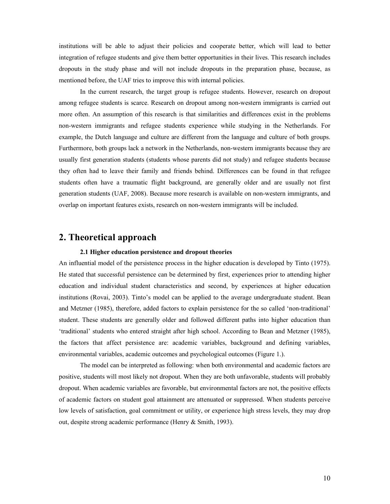institutions will be able to adjust their policies and cooperate better, which will lead to better integration of refugee students and give them better opportunities in their lives. This research includes dropouts in the study phase and will not include dropouts in the preparation phase, because, as mentioned before, the UAF tries to improve this with internal policies.

 In the current research, the target group is refugee students. However, research on dropout among refugee students is scarce. Research on dropout among non-western immigrants is carried out more often. An assumption of this research is that similarities and differences exist in the problems non-western immigrants and refugee students experience while studying in the Netherlands. For example, the Dutch language and culture are different from the language and culture of both groups. Furthermore, both groups lack a network in the Netherlands, non-western immigrants because they are usually first generation students (students whose parents did not study) and refugee students because they often had to leave their family and friends behind. Differences can be found in that refugee students often have a traumatic flight background, are generally older and are usually not first generation students (UAF, 2008). Because more research is available on non-western immigrants, and overlap on important features exists, research on non-western immigrants will be included.

## **2. Theoretical approach**

#### **2.1 Higher education persistence and dropout theories**

An influential model of the persistence process in the higher education is developed by Tinto (1975). He stated that successful persistence can be determined by first, experiences prior to attending higher education and individual student characteristics and second, by experiences at higher education institutions (Rovai, 2003). Tinto's model can be applied to the average undergraduate student. Bean and Metzner (1985), therefore, added factors to explain persistence for the so called 'non-traditional' student. These students are generally older and followed different paths into higher education than 'traditional' students who entered straight after high school. According to Bean and Metzner (1985), the factors that affect persistence are: academic variables, background and defining variables, environmental variables, academic outcomes and psychological outcomes (Figure 1.).

The model can be interpreted as following: when both environmental and academic factors are positive, students will most likely not dropout. When they are both unfavorable, students will probably dropout. When academic variables are favorable, but environmental factors are not, the positive effects of academic factors on student goal attainment are attenuated or suppressed. When students perceive low levels of satisfaction, goal commitment or utility, or experience high stress levels, they may drop out, despite strong academic performance (Henry & Smith, 1993).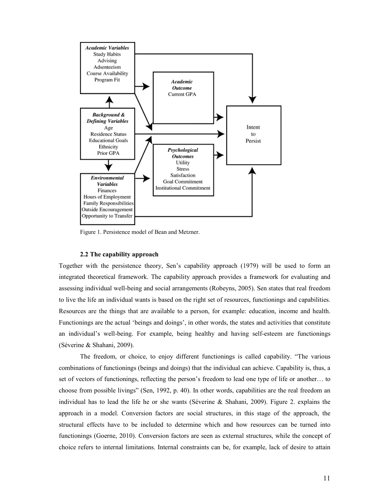

Figure 1. Persistence model of Bean and Metzner.

#### **2.2 The capability approach**

Together with the persistence theory, Sen's capability approach (1979) will be used to form an integrated theoretical framework. The capability approach provides a framework for evaluating and assessing individual well-being and social arrangements (Robeyns, 2005). Sen states that real freedom to live the life an individual wants is based on the right set of resources, functionings and capabilities. Resources are the things that are available to a person, for example: education, income and health. Functionings are the actual 'beings and doings', in other words, the states and activities that constitute an individual's well-being. For example, being healthy and having self-esteem are functionings (Séverine & Shahani, 2009).

The freedom, or choice, to enjoy different functionings is called capability. "The various combinations of functionings (beings and doings) that the individual can achieve. Capability is, thus, a set of vectors of functionings, reflecting the person's freedom to lead one type of life or another… to choose from possible livings" (Sen, 1992, p. 40). In other words, capabilities are the real freedom an individual has to lead the life he or she wants (Séverine & Shahani, 2009). Figure 2. explains the approach in a model. Conversion factors are social structures, in this stage of the approach, the structural effects have to be included to determine which and how resources can be turned into functionings (Goerne, 2010). Conversion factors are seen as external structures, while the concept of choice refers to internal limitations. Internal constraints can be, for example, lack of desire to attain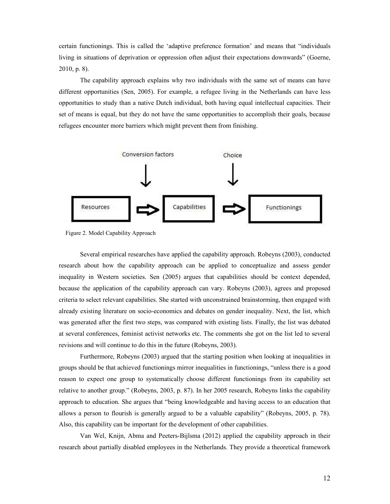certain functionings. This is called the 'adaptive preference formation' and means that "individuals living in situations of deprivation or oppression often adjust their expectations downwards" (Goerne, 2010, p. 8).

The capability approach explains why two individuals with the same set of means can have different opportunities (Sen, 2005). For example, a refugee living in the Netherlands can have less opportunities to study than a native Dutch individual, both having equal intellectual capacities. Their set of means is equal, but they do not have the same opportunities to accomplish their goals, because refugees encounter more barriers which might prevent them from finishing.



Figure 2. Model Capability Approach

Several empirical researches have applied the capability approach. Robeyns (2003), conducted research about how the capability approach can be applied to conceptualize and assess gender inequality in Western societies. Sen (2005) argues that capabilities should be context depended, because the application of the capability approach can vary. Robeyns (2003), agrees and proposed criteria to select relevant capabilities. She started with unconstrained brainstorming, then engaged with already existing literature on socio-economics and debates on gender inequality. Next, the list, which was generated after the first two steps, was compared with existing lists. Finally, the list was debated at several conferences, feminist activist networks etc. The comments she got on the list led to several revisions and will continue to do this in the future (Robeyns, 2003).

Furthermore, Robeyns (2003) argued that the starting position when looking at inequalities in groups should be that achieved functionings mirror inequalities in functionings, "unless there is a good reason to expect one group to systematically choose different functionings from its capability set relative to another group." (Robeyns, 2003, p. 87). In her 2005 research, Robeyns links the capability approach to education. She argues that "being knowledgeable and having access to an education that allows a person to flourish is generally argued to be a valuable capability" (Robeyns, 2005, p. 78). Also, this capability can be important for the development of other capabilities.

Van Wel, Knijn, Abma and Peeters-Bijlsma (2012) applied the capability approach in their research about partially disabled employees in the Netherlands. They provide a theoretical framework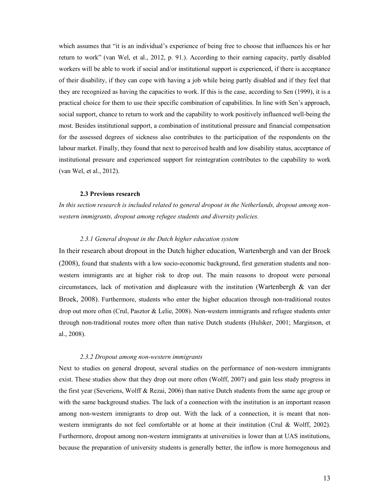which assumes that "it is an individual's experience of being free to choose that influences his or her return to work" (van Wel, et al., 2012, p. 91.). According to their earning capacity, partly disabled workers will be able to work if social and/or institutional support is experienced, if there is acceptance of their disability, if they can cope with having a job while being partly disabled and if they feel that they are recognized as having the capacities to work. If this is the case, according to Sen (1999), it is a practical choice for them to use their specific combination of capabilities. In line with Sen's approach, social support, chance to return to work and the capability to work positively influenced well-being the most. Besides institutional support, a combination of institutional pressure and financial compensation for the assessed degrees of sickness also contributes to the participation of the respondents on the labour market. Finally, they found that next to perceived health and low disability status, acceptance of institutional pressure and experienced support for reintegration contributes to the capability to work (van Wel, et al., 2012).

#### **2.3 Previous research**

*In this section research is included related to general dropout in the Netherlands, dropout among nonwestern immigrants, dropout among refugee students and diversity policies.* 

#### *2.3.1 General dropout in the Dutch higher education system*

In their research about dropout in the Dutch higher education, Wartenbergh and van der Broek (2008), found that students with a low socio-economic background, first generation students and nonwestern immigrants are at higher risk to drop out. The main reasons to dropout were personal circumstances, lack of motivation and displeasure with the institution (Wartenbergh  $\&$  van der Broek, 2008). Furthermore, students who enter the higher education through non-traditional routes drop out more often (Crul, Pasztor & Lelie, 2008). Non-western immigrants and refugee students enter through non-traditional routes more often than native Dutch students (Hulsker, 2001; Marginson, et al., 2008).

#### *2.3.2 Dropout among non-western immigrants*

Next to studies on general dropout, several studies on the performance of non-western immigrants exist. These studies show that they drop out more often (Wolff, 2007) and gain less study progress in the first year (Severiens, Wolff & Rezai, 2006) than native Dutch students from the same age group or with the same background studies. The lack of a connection with the institution is an important reason among non-western immigrants to drop out. With the lack of a connection, it is meant that nonwestern immigrants do not feel comfortable or at home at their institution (Crul & Wolff, 2002). Furthermore, dropout among non-western immigrants at universities is lower than at UAS institutions, because the preparation of university students is generally better, the inflow is more homogenous and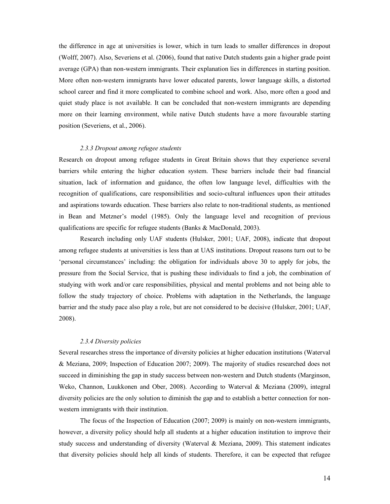the difference in age at universities is lower, which in turn leads to smaller differences in dropout (Wolff, 2007). Also, Severiens et al. (2006), found that native Dutch students gain a higher grade point average (GPA) than non-western immigrants. Their explanation lies in differences in starting position. More often non-western immigrants have lower educated parents, lower language skills, a distorted school career and find it more complicated to combine school and work. Also, more often a good and quiet study place is not available. It can be concluded that non-western immigrants are depending more on their learning environment, while native Dutch students have a more favourable starting position (Severiens, et al., 2006).

#### *2.3.3 Dropout among refugee students*

Research on dropout among refugee students in Great Britain shows that they experience several barriers while entering the higher education system. These barriers include their bad financial situation, lack of information and guidance, the often low language level, difficulties with the recognition of qualifications, care responsibilities and socio-cultural influences upon their attitudes and aspirations towards education. These barriers also relate to non-traditional students, as mentioned in Bean and Metzner's model (1985). Only the language level and recognition of previous qualifications are specific for refugee students (Banks & MacDonald, 2003).

Research including only UAF students (Hulsker, 2001; UAF, 2008), indicate that dropout among refugee students at universities is less than at UAS institutions. Dropout reasons turn out to be 'personal circumstances' including: the obligation for individuals above 30 to apply for jobs, the pressure from the Social Service, that is pushing these individuals to find a job, the combination of studying with work and/or care responsibilities, physical and mental problems and not being able to follow the study trajectory of choice. Problems with adaptation in the Netherlands, the language barrier and the study pace also play a role, but are not considered to be decisive (Hulsker, 2001; UAF, 2008).

#### *2.3.4 Diversity policies*

Several researches stress the importance of diversity policies at higher education institutions (Waterval & Meziana, 2009; Inspection of Education 2007; 2009). The majority of studies researched does not succeed in diminishing the gap in study success between non-western and Dutch students (Marginson, Weko, Channon, Luukkonen and Ober, 2008). According to Waterval & Meziana (2009), integral diversity policies are the only solution to diminish the gap and to establish a better connection for nonwestern immigrants with their institution.

The focus of the Inspection of Education (2007; 2009) is mainly on non-western immigrants, however, a diversity policy should help all students at a higher education institution to improve their study success and understanding of diversity (Waterval & Meziana, 2009). This statement indicates that diversity policies should help all kinds of students. Therefore, it can be expected that refugee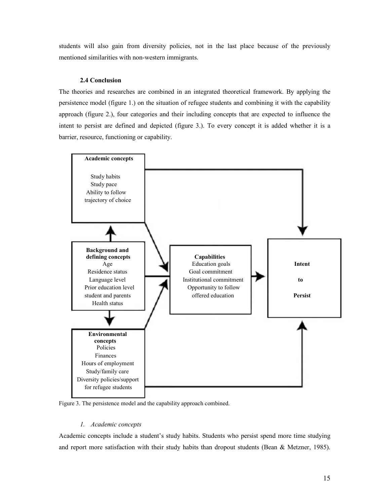students will also gain from diversity policies, not in the last place because of the previously mentioned similarities with non-western immigrants.

#### **2.4 Conclusion**

The theories and researches are combined in an integrated theoretical framework. By applying the persistence model (figure 1.) on the situation of refugee students and combining it with the capability approach (figure 2.), four categories and their including concepts that are expected to influence the intent to persist are defined and depicted (figure 3.). To every concept it is added whether it is a barrier, resource, functioning or capability.



Figure 3. The persistence model and the capability approach combined.

#### *1. Academic concepts*

Academic concepts include a student's study habits. Students who persist spend more time studying and report more satisfaction with their study habits than dropout students (Bean & Metzner, 1985).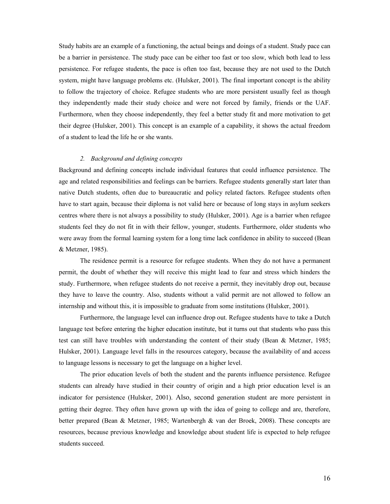Study habits are an example of a functioning, the actual beings and doings of a student. Study pace can be a barrier in persistence. The study pace can be either too fast or too slow, which both lead to less persistence. For refugee students, the pace is often too fast, because they are not used to the Dutch system, might have language problems etc. (Hulsker, 2001). The final important concept is the ability to follow the trajectory of choice. Refugee students who are more persistent usually feel as though they independently made their study choice and were not forced by family, friends or the UAF. Furthermore, when they choose independently, they feel a better study fit and more motivation to get their degree (Hulsker, 2001). This concept is an example of a capability, it shows the actual freedom of a student to lead the life he or she wants.

#### *2. Background and defining concepts*

Background and defining concepts include individual features that could influence persistence. The age and related responsibilities and feelings can be barriers. Refugee students generally start later than native Dutch students, often due to bureaucratic and policy related factors. Refugee students often have to start again, because their diploma is not valid here or because of long stays in asylum seekers centres where there is not always a possibility to study (Hulsker, 2001). Age is a barrier when refugee students feel they do not fit in with their fellow, younger, students. Furthermore, older students who were away from the formal learning system for a long time lack confidence in ability to succeed (Bean & Metzner, 1985).

The residence permit is a resource for refugee students. When they do not have a permanent permit, the doubt of whether they will receive this might lead to fear and stress which hinders the study. Furthermore, when refugee students do not receive a permit, they inevitably drop out, because they have to leave the country. Also, students without a valid permit are not allowed to follow an internship and without this, it is impossible to graduate from some institutions (Hulsker, 2001).

Furthermore, the language level can influence drop out. Refugee students have to take a Dutch language test before entering the higher education institute, but it turns out that students who pass this test can still have troubles with understanding the content of their study (Bean & Metzner, 1985; Hulsker, 2001). Language level falls in the resources category, because the availability of and access to language lessons is necessary to get the language on a higher level.

The prior education levels of both the student and the parents influence persistence. Refugee students can already have studied in their country of origin and a high prior education level is an indicator for persistence (Hulsker, 2001). Also, second generation student are more persistent in getting their degree. They often have grown up with the idea of going to college and are, therefore, better prepared (Bean & Metzner, 1985; Wartenbergh & van der Broek, 2008). These concepts are resources, because previous knowledge and knowledge about student life is expected to help refugee students succeed.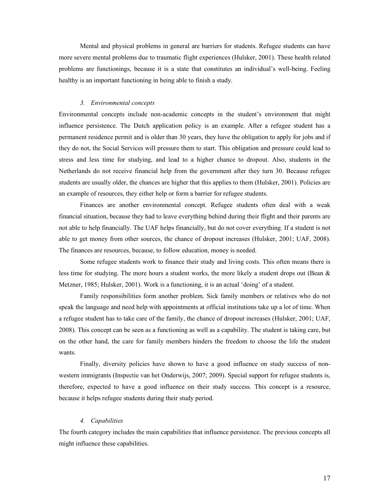Mental and physical problems in general are barriers for students. Refugee students can have more severe mental problems due to traumatic flight experiences (Hulsker, 2001). These health related problems are functionings, because it is a state that constitutes an individual's well-being. Feeling healthy is an important functioning in being able to finish a study.

#### *3. Environmental concepts*

Environmental concepts include non-academic concepts in the student's environment that might influence persistence. The Dutch application policy is an example. After a refugee student has a permanent residence permit and is older than 30 years, they have the obligation to apply for jobs and if they do not, the Social Services will pressure them to start. This obligation and pressure could lead to stress and less time for studying, and lead to a higher chance to dropout. Also, students in the Netherlands do not receive financial help from the government after they turn 30. Because refugee students are usually older, the chances are higher that this applies to them (Hulsker, 2001). Policies are an example of resources, they either help or form a barrier for refugee students.

Finances are another environmental concept. Refugee students often deal with a weak financial situation, because they had to leave everything behind during their flight and their parents are not able to help financially. The UAF helps financially, but do not cover everything. If a student is not able to get money from other sources, the chance of dropout increases (Hulsker, 2001; UAF, 2008). The finances are resources, because, to follow education, money is needed.

 Some refugee students work to finance their study and living costs. This often means there is less time for studying. The more hours a student works, the more likely a student drops out (Bean & Metzner, 1985; Hulsker, 2001). Work is a functioning, it is an actual 'doing' of a student.

 Family responsibilities form another problem. Sick family members or relatives who do not speak the language and need help with appointments at official institutions take up a lot of time. When a refugee student has to take care of the family, the chance of dropout increases (Hulsker, 2001; UAF, 2008). This concept can be seen as a functioning as well as a capability. The student is taking care, but on the other hand, the care for family members hinders the freedom to choose the life the student wants.

 Finally, diversity policies have shown to have a good influence on study success of nonwestern immigrants (Inspectie van het Onderwijs, 2007; 2009). Special support for refugee students is, therefore, expected to have a good influence on their study success. This concept is a resource, because it helps refugee students during their study period.

#### *4. Capabilities*

The fourth category includes the main capabilities that influence persistence. The previous concepts all might influence these capabilities.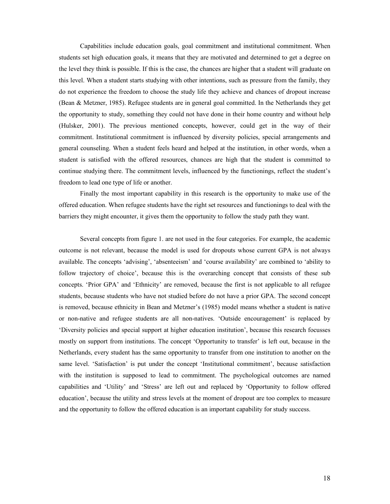Capabilities include education goals, goal commitment and institutional commitment. When students set high education goals, it means that they are motivated and determined to get a degree on the level they think is possible. If this is the case, the chances are higher that a student will graduate on this level. When a student starts studying with other intentions, such as pressure from the family, they do not experience the freedom to choose the study life they achieve and chances of dropout increase (Bean & Metzner, 1985). Refugee students are in general goal committed. In the Netherlands they get the opportunity to study, something they could not have done in their home country and without help (Hulsker, 2001). The previous mentioned concepts, however, could get in the way of their commitment. Institutional commitment is influenced by diversity policies, special arrangements and general counseling. When a student feels heard and helped at the institution, in other words, when a student is satisfied with the offered resources, chances are high that the student is committed to continue studying there. The commitment levels, influenced by the functionings, reflect the student's freedom to lead one type of life or another.

Finally the most important capability in this research is the opportunity to make use of the offered education. When refugee students have the right set resources and functionings to deal with the barriers they might encounter, it gives them the opportunity to follow the study path they want.

Several concepts from figure 1. are not used in the four categories. For example, the academic outcome is not relevant, because the model is used for dropouts whose current GPA is not always available. The concepts 'advising', 'absenteeism' and 'course availability' are combined to 'ability to follow trajectory of choice', because this is the overarching concept that consists of these sub concepts. 'Prior GPA' and 'Ethnicity' are removed, because the first is not applicable to all refugee students, because students who have not studied before do not have a prior GPA. The second concept is removed, because ethnicity in Bean and Metzner's (1985) model means whether a student is native or non-native and refugee students are all non-natives. 'Outside encouragement' is replaced by 'Diversity policies and special support at higher education institution', because this research focusses mostly on support from institutions. The concept 'Opportunity to transfer' is left out, because in the Netherlands, every student has the same opportunity to transfer from one institution to another on the same level. 'Satisfaction' is put under the concept 'Institutional commitment', because satisfaction with the institution is supposed to lead to commitment. The psychological outcomes are named capabilities and 'Utility' and 'Stress' are left out and replaced by 'Opportunity to follow offered education', because the utility and stress levels at the moment of dropout are too complex to measure and the opportunity to follow the offered education is an important capability for study success.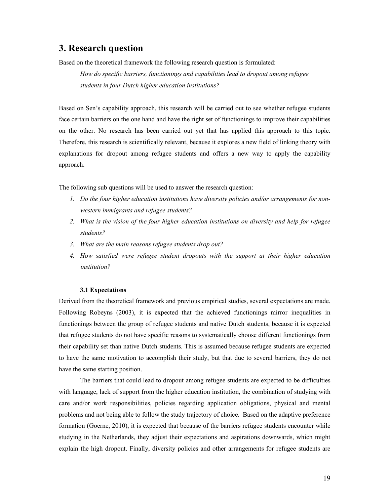## **3. Research question**

Based on the theoretical framework the following research question is formulated:

*How do specific barriers, functionings and capabilities lead to dropout among refugee students in four Dutch higher education institutions?* 

Based on Sen's capability approach, this research will be carried out to see whether refugee students face certain barriers on the one hand and have the right set of functionings to improve their capabilities on the other. No research has been carried out yet that has applied this approach to this topic. Therefore, this research is scientifically relevant, because it explores a new field of linking theory with explanations for dropout among refugee students and offers a new way to apply the capability approach.

The following sub questions will be used to answer the research question:

- *1. Do the four higher education institutions have diversity policies and/or arrangements for nonwestern immigrants and refugee students?*
- *2. What is the vision of the four higher education institutions on diversity and help for refugee students?*
- *3. What are the main reasons refugee students drop out?*
- *4. How satisfied were refugee student dropouts with the support at their higher education institution?*

#### **3.1 Expectations**

Derived from the theoretical framework and previous empirical studies, several expectations are made. Following Robeyns (2003), it is expected that the achieved functionings mirror inequalities in functionings between the group of refugee students and native Dutch students, because it is expected that refugee students do not have specific reasons to systematically choose different functionings from their capability set than native Dutch students. This is assumed because refugee students are expected to have the same motivation to accomplish their study, but that due to several barriers, they do not have the same starting position.

The barriers that could lead to dropout among refugee students are expected to be difficulties with language, lack of support from the higher education institution, the combination of studying with care and/or work responsibilities, policies regarding application obligations, physical and mental problems and not being able to follow the study trajectory of choice. Based on the adaptive preference formation (Goerne, 2010), it is expected that because of the barriers refugee students encounter while studying in the Netherlands, they adjust their expectations and aspirations downwards, which might explain the high dropout. Finally, diversity policies and other arrangements for refugee students are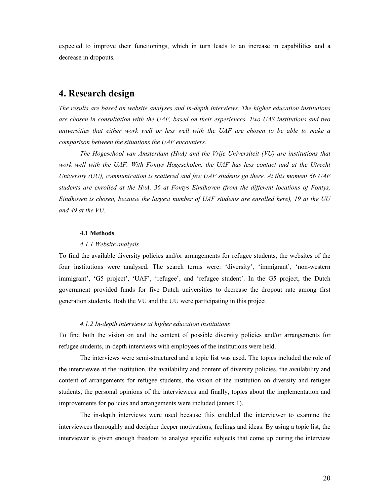expected to improve their functionings, which in turn leads to an increase in capabilities and a decrease in dropouts.

## **4. Research design**

*The results are based on website analyses and in-depth interviews. The higher education institutions are chosen in consultation with the UAF, based on their experiences. Two UAS institutions and two universities that either work well or less well with the UAF are chosen to be able to make a comparison between the situations the UAF encounters.* 

*The Hogeschool van Amsterdam (HvA) and the Vrije Universiteit (VU) are institutions that work well with the UAF. With Fontys Hogescholen, the UAF has less contact and at the Utrecht University (UU), communication is scattered and few UAF students go there. At this moment 66 UAF students are enrolled at the HvA, 36 at Fontys Eindhoven (from the different locations of Fontys, Eindhoven is chosen, because the largest number of UAF students are enrolled here), 19 at the UU and 49 at the VU.* 

#### **4.1 Methods**

#### *4.1.1 Website analysis*

To find the available diversity policies and/or arrangements for refugee students, the websites of the four institutions were analysed. The search terms were: 'diversity', 'immigrant', 'non-western immigrant', 'G5 project', 'UAF', 'refugee', and 'refugee student'. In the G5 project, the Dutch government provided funds for five Dutch universities to decrease the dropout rate among first generation students. Both the VU and the UU were participating in this project.

#### *4.1.2 In-depth interviews at higher education institutions*

To find both the vision on and the content of possible diversity policies and/or arrangements for refugee students, in-depth interviews with employees of the institutions were held.

The interviews were semi-structured and a topic list was used. The topics included the role of the interviewee at the institution, the availability and content of diversity policies, the availability and content of arrangements for refugee students, the vision of the institution on diversity and refugee students, the personal opinions of the interviewees and finally, topics about the implementation and improvements for policies and arrangements were included (annex 1).

The in-depth interviews were used because this enabled the interviewer to examine the interviewees thoroughly and decipher deeper motivations, feelings and ideas. By using a topic list, the interviewer is given enough freedom to analyse specific subjects that come up during the interview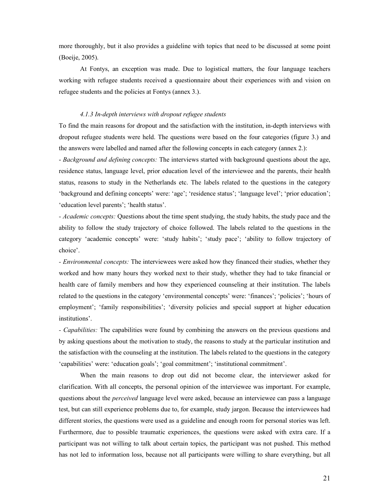more thoroughly, but it also provides a guideline with topics that need to be discussed at some point (Boeije, 2005).

At Fontys, an exception was made. Due to logistical matters, the four language teachers working with refugee students received a questionnaire about their experiences with and vision on refugee students and the policies at Fontys (annex 3.).

#### *4.1.3 In-depth interviews with dropout refugee students*

To find the main reasons for dropout and the satisfaction with the institution, in-depth interviews with dropout refugee students were held. The questions were based on the four categories (figure 3.) and the answers were labelled and named after the following concepts in each category (annex 2.):

- *Background and defining concepts:* The interviews started with background questions about the age, residence status, language level, prior education level of the interviewee and the parents, their health status, reasons to study in the Netherlands etc. The labels related to the questions in the category 'background and defining concepts' were: 'age'; 'residence status'; 'language level'; 'prior education'; 'education level parents'; 'health status'.

*- Academic concepts:* Questions about the time spent studying, the study habits, the study pace and the ability to follow the study trajectory of choice followed. The labels related to the questions in the category 'academic concepts' were: 'study habits'; 'study pace'; 'ability to follow trajectory of choice'.

*- Environmental concepts:* The interviewees were asked how they financed their studies, whether they worked and how many hours they worked next to their study, whether they had to take financial or health care of family members and how they experienced counseling at their institution. The labels related to the questions in the category 'environmental concepts' were: 'finances'; 'policies'; 'hours of employment'; 'family responsibilities'; 'diversity policies and special support at higher education institutions'.

*- Capabilities:* The capabilities were found by combining the answers on the previous questions and by asking questions about the motivation to study, the reasons to study at the particular institution and the satisfaction with the counseling at the institution. The labels related to the questions in the category 'capabilities' were: 'education goals'; 'goal commitment'; 'institutional commitment'.

 When the main reasons to drop out did not become clear, the interviewer asked for clarification. With all concepts, the personal opinion of the interviewee was important. For example, questions about the *perceived* language level were asked, because an interviewee can pass a language test, but can still experience problems due to, for example, study jargon. Because the interviewees had different stories, the questions were used as a guideline and enough room for personal stories was left. Furthermore, due to possible traumatic experiences, the questions were asked with extra care. If a participant was not willing to talk about certain topics, the participant was not pushed. This method has not led to information loss, because not all participants were willing to share everything, but all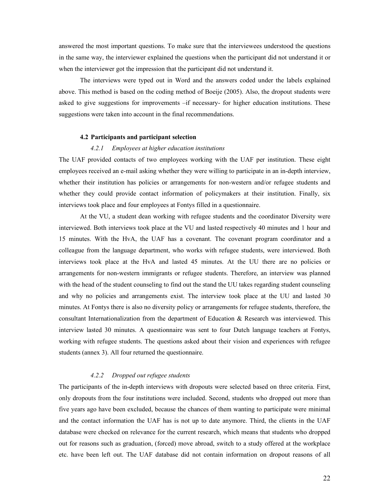answered the most important questions. To make sure that the interviewees understood the questions in the same way, the interviewer explained the questions when the participant did not understand it or when the interviewer got the impression that the participant did not understand it.

The interviews were typed out in Word and the answers coded under the labels explained above. This method is based on the coding method of Boeije (2005). Also, the dropout students were asked to give suggestions for improvements –if necessary- for higher education institutions. These suggestions were taken into account in the final recommendations.

#### **4.2 Participants and participant selection**

#### *4.2.1 Employees at higher education institutions*

The UAF provided contacts of two employees working with the UAF per institution. These eight employees received an e-mail asking whether they were willing to participate in an in-depth interview, whether their institution has policies or arrangements for non-western and/or refugee students and whether they could provide contact information of policymakers at their institution. Finally, six interviews took place and four employees at Fontys filled in a questionnaire.

At the VU, a student dean working with refugee students and the coordinator Diversity were interviewed. Both interviews took place at the VU and lasted respectively 40 minutes and 1 hour and 15 minutes. With the HvA, the UAF has a covenant. The covenant program coordinator and a colleague from the language department, who works with refugee students, were interviewed. Both interviews took place at the HvA and lasted 45 minutes. At the UU there are no policies or arrangements for non-western immigrants or refugee students. Therefore, an interview was planned with the head of the student counseling to find out the stand the UU takes regarding student counseling and why no policies and arrangements exist. The interview took place at the UU and lasted 30 minutes. At Fontys there is also no diversity policy or arrangements for refugee students, therefore, the consultant Internationalization from the department of Education & Research was interviewed. This interview lasted 30 minutes. A questionnaire was sent to four Dutch language teachers at Fontys, working with refugee students. The questions asked about their vision and experiences with refugee students (annex 3). All four returned the questionnaire.

#### *4.2.2 Dropped out refugee students*

The participants of the in-depth interviews with dropouts were selected based on three criteria. First, only dropouts from the four institutions were included. Second, students who dropped out more than five years ago have been excluded, because the chances of them wanting to participate were minimal and the contact information the UAF has is not up to date anymore. Third, the clients in the UAF database were checked on relevance for the current research, which means that students who dropped out for reasons such as graduation, (forced) move abroad, switch to a study offered at the workplace etc. have been left out. The UAF database did not contain information on dropout reasons of all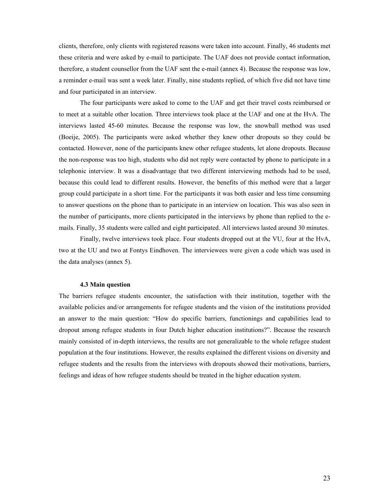clients, therefore, only clients with registered reasons were taken into account. Finally, 46 students met these criteria and were asked by e-mail to participate. The UAF does not provide contact information, therefore, a student counsellor from the UAF sent the e-mail (annex 4). Because the response was low, a reminder e-mail was sent a week later. Finally, nine students replied, of which five did not have time and four participated in an interview.

The four participants were asked to come to the UAF and get their travel costs reimbursed or to meet at a suitable other location. Three interviews took place at the UAF and one at the HvA. The interviews lasted 45-60 minutes. Because the response was low, the snowball method was used (Boeije, 2005). The participants were asked whether they knew other dropouts so they could be contacted. However, none of the participants knew other refugee students, let alone dropouts. Because the non-response was too high, students who did not reply were contacted by phone to participate in a telephonic interview. It was a disadvantage that two different interviewing methods had to be used, because this could lead to different results. However, the benefits of this method were that a larger group could participate in a short time. For the participants it was both easier and less time consuming to answer questions on the phone than to participate in an interview on location. This was also seen in the number of participants, more clients participated in the interviews by phone than replied to the emails. Finally, 35 students were called and eight participated. All interviews lasted around 30 minutes.

Finally, twelve interviews took place. Four students dropped out at the VU, four at the HvA, two at the UU and two at Fontys Eindhoven. The interviewees were given a code which was used in the data analyses (annex 5).

#### **4.3 Main question**

The barriers refugee students encounter, the satisfaction with their institution, together with the available policies and/or arrangements for refugee students and the vision of the institutions provided an answer to the main question: "How do specific barriers, functionings and capabilities lead to dropout among refugee students in four Dutch higher education institutions?". Because the research mainly consisted of in-depth interviews, the results are not generalizable to the whole refugee student population at the four institutions. However, the results explained the different visions on diversity and refugee students and the results from the interviews with dropouts showed their motivations, barriers, feelings and ideas of how refugee students should be treated in the higher education system.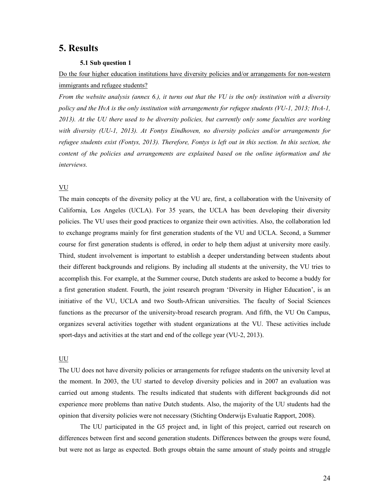## **5. Results**

#### **5.1 Sub question 1**

Do the four higher education institutions have diversity policies and/or arrangements for non-western immigrants and refugee students?

*From the website analysis (annex 6.), it turns out that the VU is the only institution with a diversity policy and the HvA is the only institution with arrangements for refugee students (VU-1, 2013; HvA-1, 2013). At the UU there used to be diversity policies, but currently only some faculties are working with diversity (UU-1, 2013). At Fontys Eindhoven, no diversity policies and/or arrangements for refugee students exist (Fontys, 2013). Therefore, Fontys is left out in this section. In this section, the content of the policies and arrangements are explained based on the online information and the interviews.* 

#### VU

The main concepts of the diversity policy at the VU are, first, a collaboration with the University of California, Los Angeles (UCLA). For 35 years, the UCLA has been developing their diversity policies. The VU uses their good practices to organize their own activities. Also, the collaboration led to exchange programs mainly for first generation students of the VU and UCLA. Second, a Summer course for first generation students is offered, in order to help them adjust at university more easily. Third, student involvement is important to establish a deeper understanding between students about their different backgrounds and religions. By including all students at the university, the VU tries to accomplish this. For example, at the Summer course, Dutch students are asked to become a buddy for a first generation student. Fourth, the joint research program 'Diversity in Higher Education', is an initiative of the VU, UCLA and two South-African universities. The faculty of Social Sciences functions as the precursor of the university-broad research program. And fifth, the VU On Campus, organizes several activities together with student organizations at the VU. These activities include sport-days and activities at the start and end of the college year (VU-2, 2013).

#### UU

The UU does not have diversity policies or arrangements for refugee students on the university level at the moment. In 2003, the UU started to develop diversity policies and in 2007 an evaluation was carried out among students. The results indicated that students with different backgrounds did not experience more problems than native Dutch students. Also, the majority of the UU students had the opinion that diversity policies were not necessary (Stichting Onderwijs Evaluatie Rapport, 2008).

The UU participated in the G5 project and, in light of this project, carried out research on differences between first and second generation students. Differences between the groups were found, but were not as large as expected. Both groups obtain the same amount of study points and struggle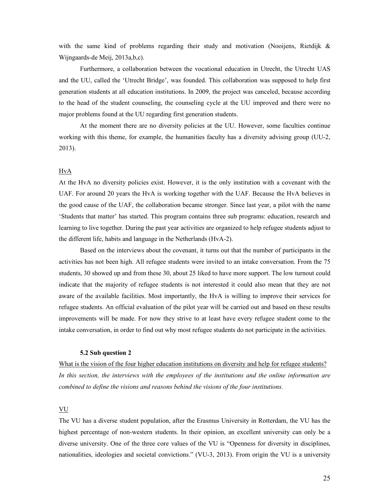with the same kind of problems regarding their study and motivation (Nooijens, Rietdijk  $\&$ Wijngaards-de Meij, 2013a,b,c).

Furthermore, a collaboration between the vocational education in Utrecht, the Utrecht UAS and the UU, called the 'Utrecht Bridge', was founded. This collaboration was supposed to help first generation students at all education institutions. In 2009, the project was canceled, because according to the head of the student counseling, the counseling cycle at the UU improved and there were no major problems found at the UU regarding first generation students.

At the moment there are no diversity policies at the UU. However, some faculties continue working with this theme, for example, the humanities faculty has a diversity advising group (UU-2, 2013).

#### **HvA**

At the HvA no diversity policies exist. However, it is the only institution with a covenant with the UAF. For around 20 years the HvA is working together with the UAF. Because the HvA believes in the good cause of the UAF, the collaboration became stronger. Since last year, a pilot with the name 'Students that matter' has started. This program contains three sub programs: education, research and learning to live together. During the past year activities are organized to help refugee students adjust to the different life, habits and language in the Netherlands (HvA-2).

 Based on the interviews about the covenant, it turns out that the number of participants in the activities has not been high. All refugee students were invited to an intake conversation. From the 75 students, 30 showed up and from these 30, about 25 liked to have more support. The low turnout could indicate that the majority of refugee students is not interested it could also mean that they are not aware of the available facilities. Most importantly, the HvA is willing to improve their services for refugee students. An official evaluation of the pilot year will be carried out and based on these results improvements will be made. For now they strive to at least have every refugee student come to the intake conversation, in order to find out why most refugee students do not participate in the activities.

#### **5.2 Sub question 2**

What is the vision of the four higher education institutions on diversity and help for refugee students? *In this section, the interviews with the employees of the institutions and the online information are combined to define the visions and reasons behind the visions of the four institutions.* 

## VU

The VU has a diverse student population, after the Erasmus University in Rotterdam, the VU has the highest percentage of non-western students. In their opinion, an excellent university can only be a diverse university. One of the three core values of the VU is "Openness for diversity in disciplines, nationalities, ideologies and societal convictions." (VU-3, 2013). From origin the VU is a university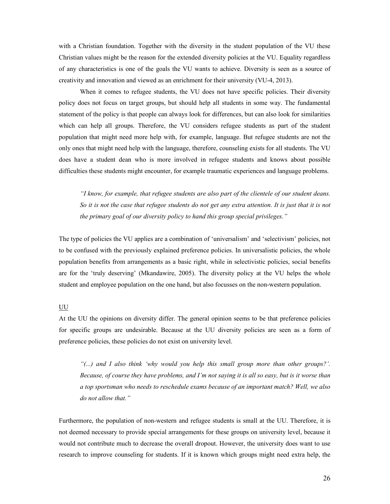with a Christian foundation. Together with the diversity in the student population of the VU these Christian values might be the reason for the extended diversity policies at the VU. Equality regardless of any characteristics is one of the goals the VU wants to achieve. Diversity is seen as a source of creativity and innovation and viewed as an enrichment for their university (VU-4, 2013).

When it comes to refugee students, the VU does not have specific policies. Their diversity policy does not focus on target groups, but should help all students in some way. The fundamental statement of the policy is that people can always look for differences, but can also look for similarities which can help all groups. Therefore, the VU considers refugee students as part of the student population that might need more help with, for example, language. But refugee students are not the only ones that might need help with the language, therefore, counseling exists for all students. The VU does have a student dean who is more involved in refugee students and knows about possible difficulties these students might encounter, for example traumatic experiences and language problems.

*"I know, for example, that refugee students are also part of the clientele of our student deans. So it is not the case that refugee students do not get any extra attention. It is just that it is not the primary goal of our diversity policy to hand this group special privileges."* 

The type of policies the VU applies are a combination of 'universalism' and 'selectivism' policies, not to be confused with the previously explained preference policies. In universalistic policies, the whole population benefits from arrangements as a basic right, while in selectivistic policies, social benefits are for the 'truly deserving' (Mkandawire, 2005). The diversity policy at the VU helps the whole student and employee population on the one hand, but also focusses on the non-western population.

#### UU

At the UU the opinions on diversity differ. The general opinion seems to be that preference policies for specific groups are undesirable. Because at the UU diversity policies are seen as a form of preference policies, these policies do not exist on university level.

*"(...) and I also think 'why would you help this small group more than other groups?'. Because, of course they have problems, and I'm not saying it is all so easy, but is it worse than a top sportsman who needs to reschedule exams because of an important match? Well, we also do not allow that."* 

Furthermore, the population of non-western and refugee students is small at the UU. Therefore, it is not deemed necessary to provide special arrangements for these groups on university level, because it would not contribute much to decrease the overall dropout. However, the university does want to use research to improve counseling for students. If it is known which groups might need extra help, the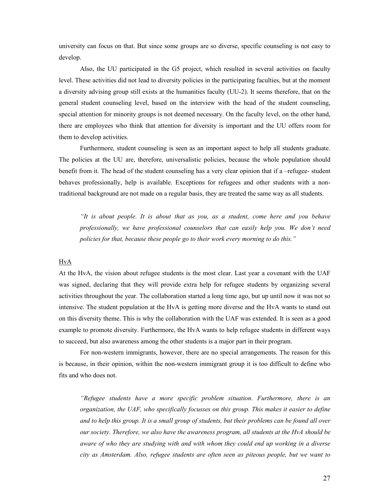university can focus on that. But since some groups are so diverse, specific counseling is not easy to develop.

 Also, the UU participated in the G5 project, which resulted in several activities on faculty level. These activities did not lead to diversity policies in the participating faculties, but at the moment a diversity advising group still exists at the humanities faculty (UU-2). It seems therefore, that on the general student counseling level, based on the interview with the head of the student counseling, special attention for minority groups is not deemed necessary. On the faculty level, on the other hand, there are employees who think that attention for diversity is important and the UU offers room for them to develop activities.

Furthermore, student counseling is seen as an important aspect to help all students graduate. The policies at the UU are, therefore, universalistic policies, because the whole population should benefit from it. The head of the student counseling has a very clear opinion that if a –refugee- student behaves professionally, help is available. Exceptions for refugees and other students with a nontraditional background are not made on a regular basis, they are treated the same way as all students.

*"It is about people. It is about that as you, as a student, come here and you behave professionally, we have professional counselors that can easily help you. We don't need policies for that, because these people go to their work every morning to do this."* 

#### **HvA**

At the HvA, the vision about refugee students is the most clear. Last year a covenant with the UAF was signed, declaring that they will provide extra help for refugee students by organizing several activities throughout the year. The collaboration started a long time ago, but up until now it was not so intensive. The student population at the HvA is getting more diverse and the HvA wants to stand out on this diversity theme. This is why the collaboration with the UAF was extended. It is seen as a good example to promote diversity. Furthermore, the HvA wants to help refugee students in different ways to succeed, but also awareness among the other students is a major part in their program.

For non-western immigrants, however, there are no special arrangements. The reason for this is because, in their opinion, within the non-western immigrant group it is too difficult to define who fits and who does not.

*"Refugee students have a more specific problem situation. Furthermore, there is an organization, the UAF, who specifically focusses on this group. This makes it easier to define and to help this group. It is a small group of students, but their problems can be found all over our society. Therefore, we also have the awareness program, all students at the HvA should be aware of who they are studying with and with whom they could end up working in a diverse city as Amsterdam. Also, refugee students are often seen as piteous people, but we want to*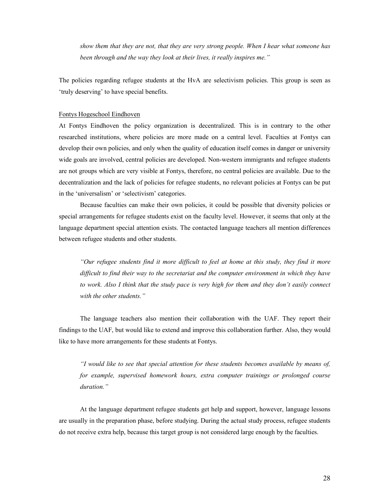*show them that they are not, that they are very strong people. When I hear what someone has been through and the way they look at their lives, it really inspires me."* 

The policies regarding refugee students at the HvA are selectivism policies. This group is seen as 'truly deserving' to have special benefits.

#### Fontys Hogeschool Eindhoven

At Fontys Eindhoven the policy organization is decentralized. This is in contrary to the other researched institutions, where policies are more made on a central level. Faculties at Fontys can develop their own policies, and only when the quality of education itself comes in danger or university wide goals are involved, central policies are developed. Non-western immigrants and refugee students are not groups which are very visible at Fontys, therefore, no central policies are available. Due to the decentralization and the lack of policies for refugee students, no relevant policies at Fontys can be put in the 'universalism' or 'selectivism' categories.

Because faculties can make their own policies, it could be possible that diversity policies or special arrangements for refugee students exist on the faculty level. However, it seems that only at the language department special attention exists. The contacted language teachers all mention differences between refugee students and other students.

*"Our refugee students find it more difficult to feel at home at this study, they find it more difficult to find their way to the secretariat and the computer environment in which they have to work. Also I think that the study pace is very high for them and they don't easily connect with the other students."* 

The language teachers also mention their collaboration with the UAF. They report their findings to the UAF, but would like to extend and improve this collaboration further. Also, they would like to have more arrangements for these students at Fontys.

*"I would like to see that special attention for these students becomes available by means of, for example, supervised homework hours, extra computer trainings or prolonged course duration."* 

 At the language department refugee students get help and support, however, language lessons are usually in the preparation phase, before studying. During the actual study process, refugee students do not receive extra help, because this target group is not considered large enough by the faculties.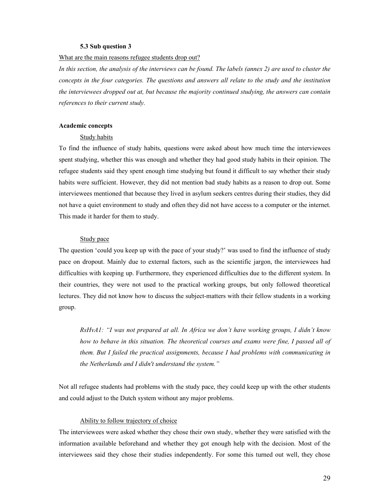#### **5.3 Sub question 3**

#### What are the main reasons refugee students drop out?

*In this section, the analysis of the interviews can be found. The labels (annex 2) are used to cluster the concepts in the four categories. The questions and answers all relate to the study and the institution the interviewees dropped out at, but because the majority continued studying, the answers can contain references to their current study.* 

#### **Academic concepts**

#### Study habits

To find the influence of study habits, questions were asked about how much time the interviewees spent studying, whether this was enough and whether they had good study habits in their opinion. The refugee students said they spent enough time studying but found it difficult to say whether their study habits were sufficient. However, they did not mention bad study habits as a reason to drop out. Some interviewees mentioned that because they lived in asylum seekers centres during their studies, they did not have a quiet environment to study and often they did not have access to a computer or the internet. This made it harder for them to study.

#### Study pace

The question 'could you keep up with the pace of your study?' was used to find the influence of study pace on dropout. Mainly due to external factors, such as the scientific jargon, the interviewees had difficulties with keeping up. Furthermore, they experienced difficulties due to the different system. In their countries, they were not used to the practical working groups, but only followed theoretical lectures. They did not know how to discuss the subject-matters with their fellow students in a working group.

*RsHvA1: "I was not prepared at all. In Africa we don't have working groups, I didn't know how to behave in this situation. The theoretical courses and exams were fine, I passed all of them. But I failed the practical assignments, because I had problems with communicating in the Netherlands and I didn't understand the system."* 

Not all refugee students had problems with the study pace, they could keep up with the other students and could adjust to the Dutch system without any major problems.

#### Ability to follow trajectory of choice

The interviewees were asked whether they chose their own study, whether they were satisfied with the information available beforehand and whether they got enough help with the decision. Most of the interviewees said they chose their studies independently. For some this turned out well, they chose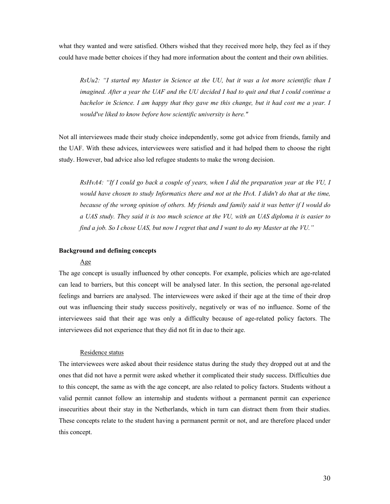what they wanted and were satisfied. Others wished that they received more help, they feel as if they could have made better choices if they had more information about the content and their own abilities.

*RsUu2: "I started my Master in Science at the UU, but it was a lot more scientific than I imagined. After a year the UAF and the UU decided I had to quit and that I could continue a bachelor in Science. I am happy that they gave me this change, but it had cost me a year. I would've liked to know before how scientific university is here."* 

Not all interviewees made their study choice independently, some got advice from friends, family and the UAF. With these advices, interviewees were satisfied and it had helped them to choose the right study. However, bad advice also led refugee students to make the wrong decision.

*RsHvA4: "If I could go back a couple of years, when I did the preparation year at the VU, I would have chosen to study Informatics there and not at the HvA. I didn't do that at the time, because of the wrong opinion of others. My friends and family said it was better if I would do a UAS study. They said it is too much science at the VU, with an UAS diploma it is easier to find a job. So I chose UAS, but now I regret that and I want to do my Master at the VU."* 

#### **Background and defining concepts**

#### Age

The age concept is usually influenced by other concepts. For example, policies which are age-related can lead to barriers, but this concept will be analysed later. In this section, the personal age-related feelings and barriers are analysed. The interviewees were asked if their age at the time of their drop out was influencing their study success positively, negatively or was of no influence. Some of the interviewees said that their age was only a difficulty because of age-related policy factors. The interviewees did not experience that they did not fit in due to their age.

#### Residence status

The interviewees were asked about their residence status during the study they dropped out at and the ones that did not have a permit were asked whether it complicated their study success. Difficulties due to this concept, the same as with the age concept, are also related to policy factors. Students without a valid permit cannot follow an internship and students without a permanent permit can experience insecurities about their stay in the Netherlands, which in turn can distract them from their studies. These concepts relate to the student having a permanent permit or not, and are therefore placed under this concept.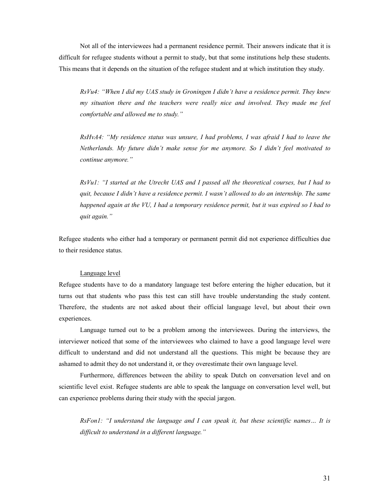Not all of the interviewees had a permanent residence permit. Their answers indicate that it is difficult for refugee students without a permit to study, but that some institutions help these students. This means that it depends on the situation of the refugee student and at which institution they study.

*RsVu4: "When I did my UAS study in Groningen I didn't have a residence permit. They knew my situation there and the teachers were really nice and involved. They made me feel comfortable and allowed me to study."* 

*RsHvA4: "My residence status was unsure, I had problems, I was afraid I had to leave the Netherlands. My future didn't make sense for me anymore. So I didn't feel motivated to continue anymore."* 

*RsVu1: "I started at the Utrecht UAS and I passed all the theoretical courses, but I had to quit, because I didn't have a residence permit. I wasn't allowed to do an internship. The same happened again at the VU, I had a temporary residence permit, but it was expired so I had to quit again."* 

Refugee students who either had a temporary or permanent permit did not experience difficulties due to their residence status.

#### Language level

Refugee students have to do a mandatory language test before entering the higher education, but it turns out that students who pass this test can still have trouble understanding the study content. Therefore, the students are not asked about their official language level, but about their own experiences.

Language turned out to be a problem among the interviewees. During the interviews, the interviewer noticed that some of the interviewees who claimed to have a good language level were difficult to understand and did not understand all the questions. This might be because they are ashamed to admit they do not understand it, or they overestimate their own language level.

Furthermore, differences between the ability to speak Dutch on conversation level and on scientific level exist. Refugee students are able to speak the language on conversation level well, but can experience problems during their study with the special jargon.

*RsFon1: "I understand the language and I can speak it, but these scientific names… It is difficult to understand in a different language."*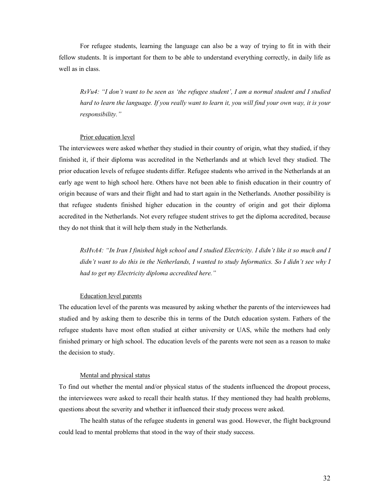For refugee students, learning the language can also be a way of trying to fit in with their fellow students. It is important for them to be able to understand everything correctly, in daily life as well as in class.

*RsVu4: "I don't want to be seen as 'the refugee student', I am a normal student and I studied hard to learn the language. If you really want to learn it, you will find your own way, it is your responsibility."* 

#### Prior education level

The interviewees were asked whether they studied in their country of origin, what they studied, if they finished it, if their diploma was accredited in the Netherlands and at which level they studied. The prior education levels of refugee students differ. Refugee students who arrived in the Netherlands at an early age went to high school here. Others have not been able to finish education in their country of origin because of wars and their flight and had to start again in the Netherlands. Another possibility is that refugee students finished higher education in the country of origin and got their diploma accredited in the Netherlands. Not every refugee student strives to get the diploma accredited, because they do not think that it will help them study in the Netherlands.

*RsHvA4: "In Iran I finished high school and I studied Electricity. I didn't like it so much and I didn't want to do this in the Netherlands, I wanted to study Informatics. So I didn't see why I had to get my Electricity diploma accredited here."* 

#### Education level parents

The education level of the parents was measured by asking whether the parents of the interviewees had studied and by asking them to describe this in terms of the Dutch education system. Fathers of the refugee students have most often studied at either university or UAS, while the mothers had only finished primary or high school. The education levels of the parents were not seen as a reason to make the decision to study.

#### Mental and physical status

To find out whether the mental and/or physical status of the students influenced the dropout process, the interviewees were asked to recall their health status. If they mentioned they had health problems, questions about the severity and whether it influenced their study process were asked.

The health status of the refugee students in general was good. However, the flight background could lead to mental problems that stood in the way of their study success.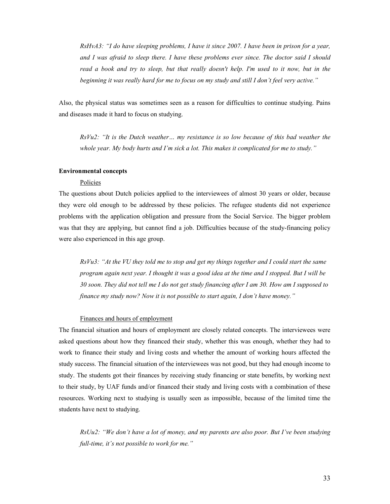*RsHvA3: "I do have sleeping problems, I have it since 2007. I have been in prison for a year, and I was afraid to sleep there. I have these problems ever since. The doctor said I should read a book and try to sleep, but that really doesn't help. I'm used to it now, but in the beginning it was really hard for me to focus on my study and still I don't feel very active."* 

Also, the physical status was sometimes seen as a reason for difficulties to continue studying. Pains and diseases made it hard to focus on studying.

*RsVu2: "It is the Dutch weather… my resistance is so low because of this bad weather the whole year. My body hurts and I'm sick a lot. This makes it complicated for me to study."* 

#### **Environmental concepts**

#### Policies

The questions about Dutch policies applied to the interviewees of almost 30 years or older, because they were old enough to be addressed by these policies. The refugee students did not experience problems with the application obligation and pressure from the Social Service. The bigger problem was that they are applying, but cannot find a job. Difficulties because of the study-financing policy were also experienced in this age group.

*RsVu3: "At the VU they told me to stop and get my things together and I could start the same program again next year. I thought it was a good idea at the time and I stopped. But I will be 30 soon. They did not tell me I do not get study financing after I am 30. How am I supposed to finance my study now? Now it is not possible to start again, I don't have money."* 

#### Finances and hours of employment

The financial situation and hours of employment are closely related concepts. The interviewees were asked questions about how they financed their study, whether this was enough, whether they had to work to finance their study and living costs and whether the amount of working hours affected the study success. The financial situation of the interviewees was not good, but they had enough income to study. The students got their finances by receiving study financing or state benefits, by working next to their study, by UAF funds and/or financed their study and living costs with a combination of these resources. Working next to studying is usually seen as impossible, because of the limited time the students have next to studying.

*RsUu2: "We don't have a lot of money, and my parents are also poor. But I've been studying full-time, it's not possible to work for me."*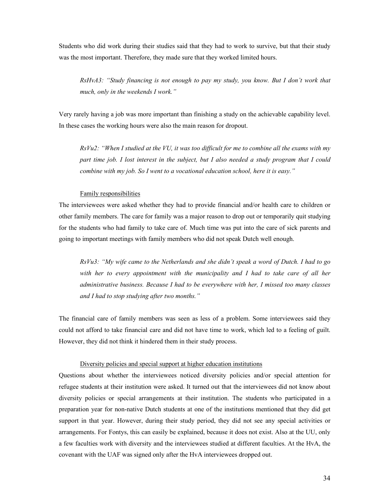Students who did work during their studies said that they had to work to survive, but that their study was the most important. Therefore, they made sure that they worked limited hours.

*RsHvA3: "Study financing is not enough to pay my study, you know. But I don't work that much, only in the weekends I work."* 

Very rarely having a job was more important than finishing a study on the achievable capability level. In these cases the working hours were also the main reason for dropout.

*RsVu2: "When I studied at the VU, it was too difficult for me to combine all the exams with my part time job. I lost interest in the subject, but I also needed a study program that I could combine with my job. So I went to a vocational education school, here it is easy."* 

#### Family responsibilities

The interviewees were asked whether they had to provide financial and/or health care to children or other family members. The care for family was a major reason to drop out or temporarily quit studying for the students who had family to take care of. Much time was put into the care of sick parents and going to important meetings with family members who did not speak Dutch well enough.

*RsVu3: "My wife came to the Netherlands and she didn't speak a word of Dutch. I had to go with her to every appointment with the municipality and I had to take care of all her administrative business. Because I had to be everywhere with her, I missed too many classes and I had to stop studying after two months."* 

The financial care of family members was seen as less of a problem. Some interviewees said they could not afford to take financial care and did not have time to work, which led to a feeling of guilt. However, they did not think it hindered them in their study process.

#### Diversity policies and special support at higher education institutions

Questions about whether the interviewees noticed diversity policies and/or special attention for refugee students at their institution were asked. It turned out that the interviewees did not know about diversity policies or special arrangements at their institution. The students who participated in a preparation year for non-native Dutch students at one of the institutions mentioned that they did get support in that year. However, during their study period, they did not see any special activities or arrangements. For Fontys, this can easily be explained, because it does not exist. Also at the UU, only a few faculties work with diversity and the interviewees studied at different faculties. At the HvA, the covenant with the UAF was signed only after the HvA interviewees dropped out.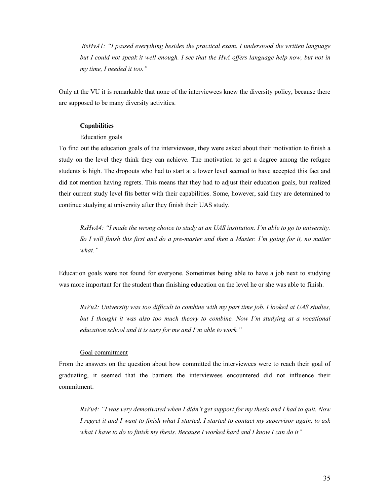*RsHvA1: "I passed everything besides the practical exam. I understood the written language but I could not speak it well enough. I see that the HvA offers language help now, but not in my time, I needed it too."* 

Only at the VU it is remarkable that none of the interviewees knew the diversity policy, because there are supposed to be many diversity activities.

#### **Capabilities**

#### Education goals

To find out the education goals of the interviewees, they were asked about their motivation to finish a study on the level they think they can achieve. The motivation to get a degree among the refugee students is high. The dropouts who had to start at a lower level seemed to have accepted this fact and did not mention having regrets. This means that they had to adjust their education goals, but realized their current study level fits better with their capabilities. Some, however, said they are determined to continue studying at university after they finish their UAS study.

*RsHvA4: "I made the wrong choice to study at an UAS institution. I'm able to go to university. So I will finish this first and do a pre-master and then a Master. I'm going for it, no matter what."* 

Education goals were not found for everyone. Sometimes being able to have a job next to studying was more important for the student than finishing education on the level he or she was able to finish.

*RsVu2: University was too difficult to combine with my part time job. I looked at UAS studies, but I thought it was also too much theory to combine. Now I'm studying at a vocational education school and it is easy for me and I'm able to work."* 

#### Goal commitment

From the answers on the question about how committed the interviewees were to reach their goal of graduating, it seemed that the barriers the interviewees encountered did not influence their commitment.

*RsVu4: "I was very demotivated when I didn't get support for my thesis and I had to quit. Now I regret it and I want to finish what I started. I started to contact my supervisor again, to ask what I have to do to finish my thesis. Because I worked hard and I know I can do it"*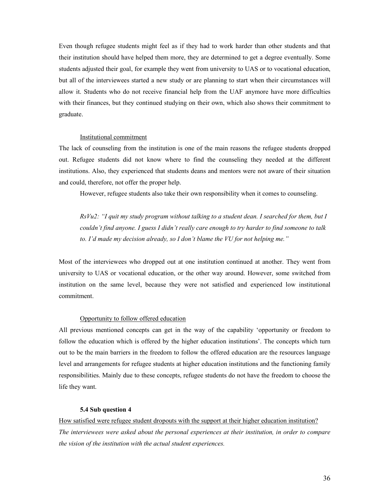Even though refugee students might feel as if they had to work harder than other students and that their institution should have helped them more, they are determined to get a degree eventually. Some students adjusted their goal, for example they went from university to UAS or to vocational education, but all of the interviewees started a new study or are planning to start when their circumstances will allow it. Students who do not receive financial help from the UAF anymore have more difficulties with their finances, but they continued studying on their own, which also shows their commitment to graduate.

#### Institutional commitment

The lack of counseling from the institution is one of the main reasons the refugee students dropped out. Refugee students did not know where to find the counseling they needed at the different institutions. Also, they experienced that students deans and mentors were not aware of their situation and could, therefore, not offer the proper help.

However, refugee students also take their own responsibility when it comes to counseling.

*RsVu2: "I quit my study program without talking to a student dean. I searched for them, but I couldn't find anyone. I guess I didn't really care enough to try harder to find someone to talk to. I'd made my decision already, so I don't blame the VU for not helping me."*

Most of the interviewees who dropped out at one institution continued at another. They went from university to UAS or vocational education, or the other way around. However, some switched from institution on the same level, because they were not satisfied and experienced low institutional commitment.

#### Opportunity to follow offered education

All previous mentioned concepts can get in the way of the capability 'opportunity or freedom to follow the education which is offered by the higher education institutions'. The concepts which turn out to be the main barriers in the freedom to follow the offered education are the resources language level and arrangements for refugee students at higher education institutions and the functioning family responsibilities. Mainly due to these concepts, refugee students do not have the freedom to choose the life they want.

#### **5.4 Sub question 4**

How satisfied were refugee student dropouts with the support at their higher education institution? *The interviewees were asked about the personal experiences at their institution, in order to compare the vision of the institution with the actual student experiences.*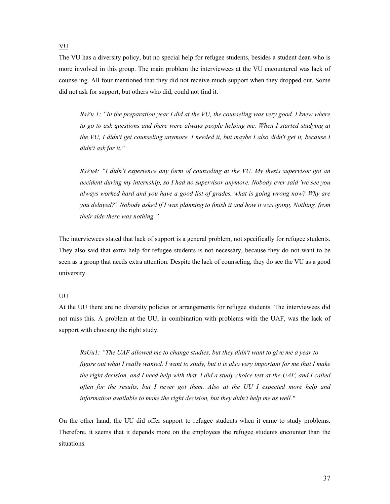VU

The VU has a diversity policy, but no special help for refugee students, besides a student dean who is more involved in this group. The main problem the interviewees at the VU encountered was lack of counseling. All four mentioned that they did not receive much support when they dropped out. Some did not ask for support, but others who did, could not find it.

*RsVu 1: "In the preparation year I did at the VU, the counseling was very good. I knew where to go to ask questions and there were always people helping me. When I started studying at the VU, I didn't get counseling anymore. I needed it, but maybe I also didn't get it, because I didn't ask for it."* 

*RsVu4: "I didn't experience any form of counseling at the VU. My thesis supervisor got an accident during my internship, so I had no supervisor anymore. Nobody ever said 'we see you always worked hard and you have a good list of grades, what is going wrong now? Why are you delayed?'. Nobody asked if I was planning to finish it and how it was going. Nothing, from their side there was nothing."* 

The interviewees stated that lack of support is a general problem, not specifically for refugee students. They also said that extra help for refugee students is not necessary, because they do not want to be seen as a group that needs extra attention. Despite the lack of counseling, they do see the VU as a good university.

#### UU

At the UU there are no diversity policies or arrangements for refugee students. The interviewees did not miss this. A problem at the UU, in combination with problems with the UAF, was the lack of support with choosing the right study.

*RsUu1: "The UAF allowed me to change studies, but they didn't want to give me a year to figure out what I really wanted. I want to study, but it is also very important for me that I make the right decision, and I need help with that. I did a study-choice test at the UAF, and I called often for the results, but I never got them. Also at the UU I expected more help and information available to make the right decision, but they didn't help me as well."* 

On the other hand, the UU did offer support to refugee students when it came to study problems. Therefore, it seems that it depends more on the employees the refugee students encounter than the situations.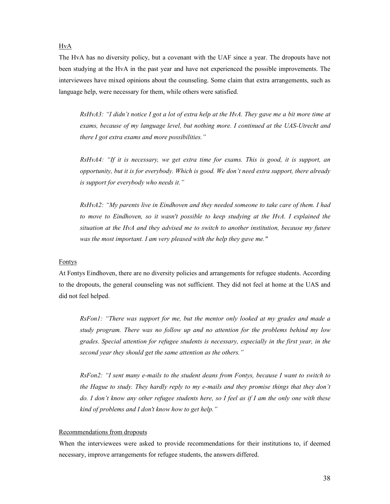#### HvA

The HvA has no diversity policy, but a covenant with the UAF since a year. The dropouts have not been studying at the HvA in the past year and have not experienced the possible improvements. The interviewees have mixed opinions about the counseling. Some claim that extra arrangements, such as language help, were necessary for them, while others were satisfied.

*RsHvA3: "I didn't notice I got a lot of extra help at the HvA. They gave me a bit more time at exams, because of my language level, but nothing more. I continued at the UAS-Utrecht and there I got extra exams and more possibilities."* 

*RsHvA4: "If it is necessary, we get extra time for exams. This is good, it is support, an opportunity, but it is for everybody. Which is good. We don't need extra support, there already is support for everybody who needs it."* 

*RsHvA2: "My parents live in Eindhoven and they needed someone to take care of them. I had to move to Eindhoven, so it wasn't possible to keep studying at the HvA. I explained the situation at the HvA and they advised me to switch to another institution, because my future was the most important. I am very pleased with the help they gave me."* 

#### Fontys

At Fontys Eindhoven, there are no diversity policies and arrangements for refugee students. According to the dropouts, the general counseling was not sufficient. They did not feel at home at the UAS and did not feel helped.

*RsFon1: "There was support for me, but the mentor only looked at my grades and made a study program. There was no follow up and no attention for the problems behind my low grades. Special attention for refugee students is necessary, especially in the first year, in the second year they should get the same attention as the others."* 

*RsFon2: "I sent many e-mails to the student deans from Fontys, because I want to switch to the Hague to study. They hardly reply to my e-mails and they promise things that they don't do. I don't know any other refugee students here, so I feel as if I am the only one with these kind of problems and I don't know how to get help."* 

#### Recommendations from dropouts

When the interviewees were asked to provide recommendations for their institutions to, if deemed necessary, improve arrangements for refugee students, the answers differed.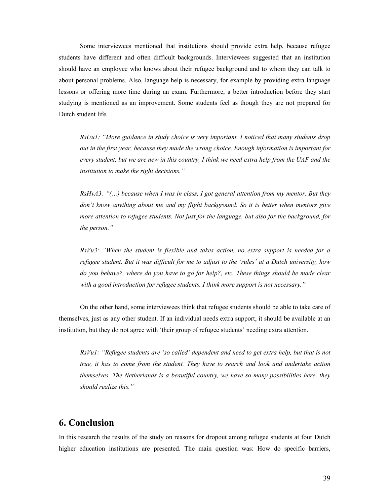Some interviewees mentioned that institutions should provide extra help, because refugee students have different and often difficult backgrounds. Interviewees suggested that an institution should have an employee who knows about their refugee background and to whom they can talk to about personal problems. Also, language help is necessary, for example by providing extra language lessons or offering more time during an exam. Furthermore, a better introduction before they start studying is mentioned as an improvement. Some students feel as though they are not prepared for Dutch student life.

*RsUu1: "More guidance in study choice is very important. I noticed that many students drop out in the first year, because they made the wrong choice. Enough information is important for every student, but we are new in this country, I think we need extra help from the UAF and the institution to make the right decisions."* 

*RsHvA3: "(…) because when I was in class, I got general attention from my mentor. But they don't know anything about me and my flight background. So it is better when mentors give more attention to refugee students. Not just for the language, but also for the background, for the person."* 

*RsVu3: "When the student is flexible and takes action, no extra support is needed for a refugee student. But it was difficult for me to adjust to the 'rules' at a Dutch university, how do you behave?, where do you have to go for help?, etc. These things should be made clear with a good introduction for refugee students. I think more support is not necessary."* 

On the other hand, some interviewees think that refugee students should be able to take care of themselves, just as any other student. If an individual needs extra support, it should be available at an institution, but they do not agree with 'their group of refugee students' needing extra attention.

*RsVu1: "Refugee students are 'so called' dependent and need to get extra help, but that is not true, it has to come from the student. They have to search and look and undertake action themselves. The Netherlands is a beautiful country, we have so many possibilities here, they should realize this."* 

## **6. Conclusion**

In this research the results of the study on reasons for dropout among refugee students at four Dutch higher education institutions are presented. The main question was: How do specific barriers,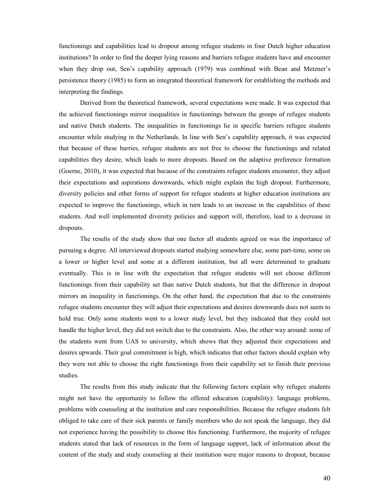functionings and capabilities lead to dropout among refugee students in four Dutch higher education institutions? In order to find the deeper lying reasons and barriers refugee students have and encounter when they drop out, Sen's capability approach (1979) was combined with Bean and Metzner's persistence theory (1985) to form an integrated theoretical framework for establishing the methods and interpreting the findings.

Derived from the theoretical framework, several expectations were made. It was expected that the achieved functionings mirror inequalities in functionings between the groups of refugee students and native Dutch students. The inequalities in functionings lie in specific barriers refugee students encounter while studying in the Netherlands. In line with Sen's capability approach, it was expected that because of these barries, refugee students are not free to choose the functionings and related capabilities they desire, which leads to more dropouts. Based on the adaptive preference formation (Goerne, 2010), it was expected that because of the constraints refugee students encounter, they adjust their expectations and aspirations downwards, which might explain the high dropout. Furthermore, diversity policies and other forms of support for refugee students at higher education institutions are expected to improve the functionings, which in turn leads to an increase in the capabilities of these students. And well implemented diversity policies and support will, therefore, lead to a decrease in dropouts.

The results of the study show that one factor all students agreed on was the importance of pursuing a degree. All interviewed dropouts started studying somewhere else, some part-time, some on a lower or higher level and some at a different institution, but all were determined to graduate eventually. This is in line with the expectation that refugee students will not choose different functionings from their capability set than native Dutch students, but that the difference in dropout mirrors an inequality in functionings. On the other hand, the expectation that due to the constraints refugee students encounter they will adjust their expectations and desires downwards does not seem to hold true. Only some students went to a lower study level, but they indicated that they could not handle the higher level, they did not switch due to the constraints. Also, the other way around: some of the students went from UAS to university, which shows that they adjusted their expectations and desires upwards. Their goal commitment is high, which indicates that other factors should explain why they were not able to choose the right functionings from their capability set to finish their previous studies.

The results from this study indicate that the following factors explain why refugee students might not have the opportunity to follow the offered education (capability): language problems, problems with counseling at the institution and care responsibilities. Because the refugee students felt obliged to take care of their sick parents or family members who do not speak the language, they did not experience having the possibility to choose this functioning. Furthermore, the majority of refugee students stated that lack of resources in the form of language support, lack of information about the content of the study and study counseling at their institution were major reasons to dropout, because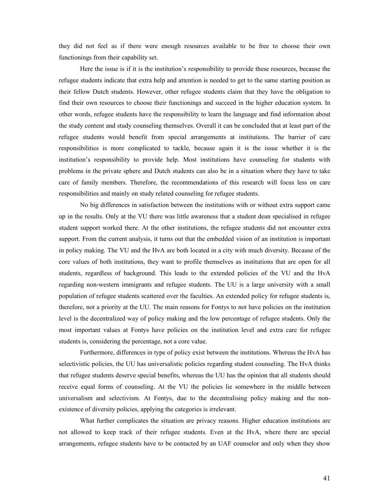they did not feel as if there were enough resources available to be free to choose their own functionings from their capability set.

Here the issue is if it is the institution's responsibility to provide these resources, because the refugee students indicate that extra help and attention is needed to get to the same starting position as their fellow Dutch students. However, other refugee students claim that they have the obligation to find their own resources to choose their functionings and succeed in the higher education system. In other words, refugee students have the responsibility to learn the language and find information about the study content and study counseling themselves. Overall it can be concluded that at least part of the refugee students would benefit from special arrangements at institutions. The barrier of care responsibilities is more complicated to tackle, because again it is the issue whether it is the institution's responsibility to provide help. Most institutions have counseling for students with problems in the private sphere and Dutch students can also be in a situation where they have to take care of family members. Therefore, the recommendations of this research will focus less on care responsibilities and mainly on study related counseling for refugee students.

No big differences in satisfaction between the institutions with or without extra support came up in the results. Only at the VU there was little awareness that a student dean specialised in refugee student support worked there. At the other institutions, the refugee students did not encounter extra support. From the current analysis, it turns out that the embedded vision of an institution is important in policy making. The VU and the HvA are both located in a city with much diversity. Because of the core values of both institutions, they want to profile themselves as institutions that are open for all students, regardless of background. This leads to the extended policies of the VU and the HvA regarding non-western immigrants and refugee students. The UU is a large university with a small population of refugee students scattered over the faculties. An extended policy for refugee students is, therefore, not a priority at the UU. The main reasons for Fontys to not have policies on the institution level is the decentralized way of policy making and the low percentage of refugee students. Only the most important values at Fontys have policies on the institution level and extra care for refugee students is, considering the percentage, not a core value.

Furthermore, differences in type of policy exist between the institutions. Whereas the HvA has selectivistic policies, the UU has universalistic policies regarding student counseling. The HvA thinks that refugee students deserve special benefits, whereas the UU has the opinion that all students should receive equal forms of counseling. At the VU the policies lie somewhere in the middle between universalism and selectivism. At Fontys, due to the decentralising policy making and the nonexistence of diversity policies, applying the categories is irrelevant.

 What further complicates the situation are privacy reasons. Higher education institutions are not allowed to keep track of their refugee students. Even at the HvA, where there are special arrangements, refugee students have to be contacted by an UAF counselor and only when they show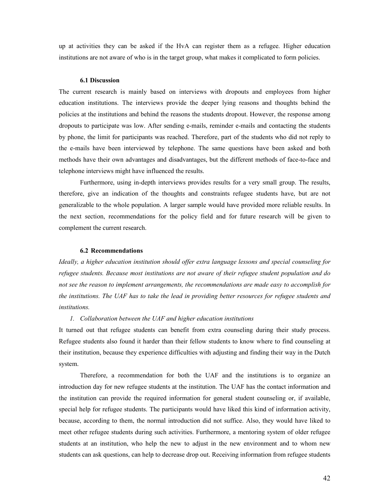up at activities they can be asked if the HvA can register them as a refugee. Higher education institutions are not aware of who is in the target group, what makes it complicated to form policies.

#### **6.1 Discussion**

The current research is mainly based on interviews with dropouts and employees from higher education institutions. The interviews provide the deeper lying reasons and thoughts behind the policies at the institutions and behind the reasons the students dropout. However, the response among dropouts to participate was low. After sending e-mails, reminder e-mails and contacting the students by phone, the limit for participants was reached. Therefore, part of the students who did not reply to the e-mails have been interviewed by telephone. The same questions have been asked and both methods have their own advantages and disadvantages, but the different methods of face-to-face and telephone interviews might have influenced the results.

 Furthermore, using in-depth interviews provides results for a very small group. The results, therefore, give an indication of the thoughts and constraints refugee students have, but are not generalizable to the whole population. A larger sample would have provided more reliable results. In the next section, recommendations for the policy field and for future research will be given to complement the current research.

#### **6.2 Recommendations**

*Ideally, a higher education institution should offer extra language lessons and special counseling for refugee students. Because most institutions are not aware of their refugee student population and do not see the reason to implement arrangements, the recommendations are made easy to accomplish for the institutions. The UAF has to take the lead in providing better resources for refugee students and institutions.* 

#### *1. Collaboration between the UAF and higher education institutions*

It turned out that refugee students can benefit from extra counseling during their study process. Refugee students also found it harder than their fellow students to know where to find counseling at their institution, because they experience difficulties with adjusting and finding their way in the Dutch system.

Therefore, a recommendation for both the UAF and the institutions is to organize an introduction day for new refugee students at the institution. The UAF has the contact information and the institution can provide the required information for general student counseling or, if available, special help for refugee students. The participants would have liked this kind of information activity, because, according to them, the normal introduction did not suffice. Also, they would have liked to meet other refugee students during such activities. Furthermore, a mentoring system of older refugee students at an institution, who help the new to adjust in the new environment and to whom new students can ask questions, can help to decrease drop out. Receiving information from refugee students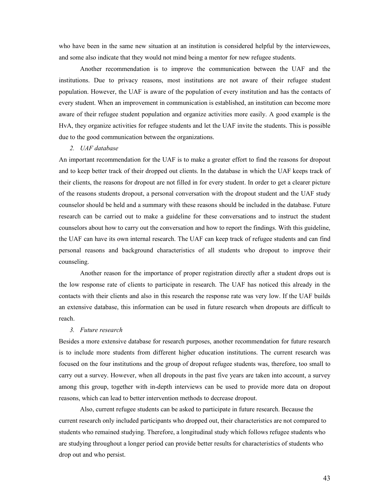who have been in the same new situation at an institution is considered helpful by the interviewees, and some also indicate that they would not mind being a mentor for new refugee students.

 Another recommendation is to improve the communication between the UAF and the institutions. Due to privacy reasons, most institutions are not aware of their refugee student population. However, the UAF is aware of the population of every institution and has the contacts of every student. When an improvement in communication is established, an institution can become more aware of their refugee student population and organize activities more easily. A good example is the HvA, they organize activities for refugee students and let the UAF invite the students. This is possible due to the good communication between the organizations.

#### *2. UAF database*

An important recommendation for the UAF is to make a greater effort to find the reasons for dropout and to keep better track of their dropped out clients. In the database in which the UAF keeps track of their clients, the reasons for dropout are not filled in for every student. In order to get a clearer picture of the reasons students dropout, a personal conversation with the dropout student and the UAF study counselor should be held and a summary with these reasons should be included in the database. Future research can be carried out to make a guideline for these conversations and to instruct the student counselors about how to carry out the conversation and how to report the findings. With this guideline, the UAF can have its own internal research. The UAF can keep track of refugee students and can find personal reasons and background characteristics of all students who dropout to improve their counseling.

 Another reason for the importance of proper registration directly after a student drops out is the low response rate of clients to participate in research. The UAF has noticed this already in the contacts with their clients and also in this research the response rate was very low. If the UAF builds an extensive database, this information can be used in future research when dropouts are difficult to reach.

#### *3. Future research*

Besides a more extensive database for research purposes, another recommendation for future research is to include more students from different higher education institutions. The current research was focused on the four institutions and the group of dropout refugee students was, therefore, too small to carry out a survey. However, when all dropouts in the past five years are taken into account, a survey among this group, together with in-depth interviews can be used to provide more data on dropout reasons, which can lead to better intervention methods to decrease dropout.

 Also, current refugee students can be asked to participate in future research. Because the current research only included participants who dropped out, their characteristics are not compared to students who remained studying. Therefore, a longitudinal study which follows refugee students who are studying throughout a longer period can provide better results for characteristics of students who drop out and who persist.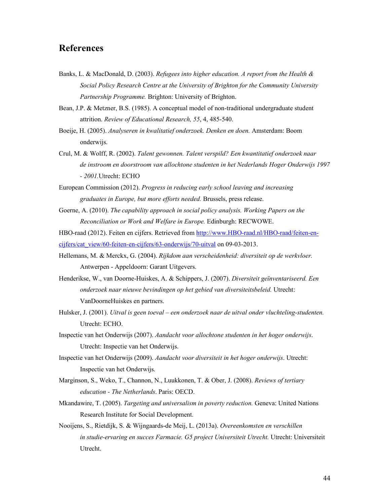## **References**

- Banks, L. & MacDonald, D. (2003). *Refugees into higher education. A report from the Health & Social Policy Research Centre at the University of Brighton for the Community University Partnership Programme.* Brighton: University of Brighton.
- Bean, J.P. & Metzner, B.S. (1985). A conceptual model of non-traditional undergraduate student attrition. *Review of Educational Research, 55*, 4, 485-540.
- Boeije, H. (2005). *Analyseren in kwalitatief onderzoek. Denken en doen.* Amsterdam: Boom onderwijs.
- Crul, M. & Wolff, R. (2002). *Talent gewonnen. Talent verspild? Een kwantitatief onderzoek naar de instroom en doorstroom van allochtone studenten in het Nederlands Hoger Onderwijs 1997 - 2001.*Utrecht: ECHO
- European Commission (2012). *Progress in reducing early school leaving and increasing graduates in Europe, but more efforts needed.* Brussels, press release.
- Goerne, A. (2010). *The capability approach in social policy analysis. Working Papers on the Reconciliation or Work and Welfare in Europe.* Edinburgh: RECWOWE.

HBO-raad (2012). Feiten en cijfers. Retrieved from http://www.HBO-raad.nl/HBO-raad/feiten-encijfers/cat\_view/60-feiten-en-cijfers/63-onderwijs/70-uitval on 09-03-2013.

- Hellemans, M. & Merckx, G. (2004). *Rijkdom aan verscheidenheid: diversiteit op de werkvloer.*  Antwerpen - Appeldoorn: Garant Uitgevers.
- Henderikse, W., van Doorne-Huiskes, A. & Schippers, J. (2007). *Diversiteit geïnventariseerd. Een onderzoek naar nieuwe bevindingen op het gebied van diversiteitsbeleid.* Utrecht: VanDoorneHuiskes en partners.
- Hulsker, J. (2001). *Uitval is geen toeval een onderzoek naar de uitval onder vluchteling-studenten.* Utrecht: ECHO.
- Inspectie van het Onderwijs (2007). *Aandacht voor allochtone studenten in het hoger onderwijs*. Utrecht: Inspectie van het Onderwijs.
- Inspectie van het Onderwijs (2009). *Aandacht voor diversiteit in het hoger onderwijs*. Utrecht: Inspectie van het Onderwijs.
- Marginson, S., Weko, T., Channon, N., Luukkonen, T. & Ober, J. (2008). *Reviews of tertiary education - The Netherlands*. Paris: OECD.
- Mkandawire, T. (2005). *Targeting and universalism in poverty reduction.* Geneva: United Nations Research Institute for Social Development.
- Nooijens, S., Rietdijk, S. & Wijngaards-de Meij, L. (2013a). *Overeenkomsten en verschillen in studie-ervaring en succes Farmacie. G5 project Universiteit Utrecht.* Utrecht: Universiteit Utrecht.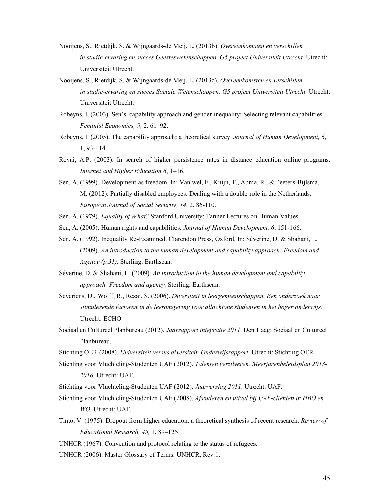- Nooijens, S., Rietdijk, S. & Wijngaards-de Meij, L. (2013b). *Overeenkomsten en verschillen in studie-ervaring en succes Geesteswetenschappen. G5 project Universiteit Utrecht.* Utrecht: Universiteit Utrecht.
- Nooijens, S., Rietdijk, S. & Wijngaards-de Meij, L. (2013c). *Overeenkomsten en verschillen in studie-ervaring en succes Sociale Wetenschappen. G5 project Universiteit Utrecht.* Utrecht: Universiteit Utrecht.
- Robeyns, I. (2003). Sen's capability approach and gender inequality: Selecting relevant capabilities. *Feminist Economics, 9,* 2*,* 61–92.
- Robeyns, I. (2005). The capability approach: a theoretical survey. *Journal of Human Development, 6*, 1, 93-114.
- Rovai, A.P. (2003). In search of higher persistence rates in distance education online programs. *Internet and Higher Education 6*, 1–16.
- Sen, A. (1999). Development as freedom. In: Van wel, F., Knijn, T., Abma, R., & Peeters-Bijlsma, M. (2012). Partially disabled employees: Dealing with a double role in the Netherlands. *European Journal of Social Security, 14*, 2, 86-110.
- Sen, A. (1979). *Equality of What?* Stanford University: Tanner Lectures on Human Values.
- Sen, A. (2005). Human rights and capabilities. *Journal of Human Development, 6*, 151-166.
- Sen, A. (1992). Inequality Re-Examined. Clarendon Press, Oxford. In: Séverine, D. & Shahani, L. (2009). *An introduction to the human development and capability approach: Freedom and Agency (p.31).* Sterling: Earthscan.
- Séverine, D. & Shahani, L. (2009). *An introduction to the human development and capability approach: Freedom and agency.* Sterling: Earthscan.
- Severiens, D., Wolff, R., Rezai, S. (2006). *Diversiteit in leergemeenschappen. Een onderzoek naar stimulerende factoren in de leeromgeving voor allochtone studenten in het hoger onderwijs.* Utrecht: ECHO.
- Sociaal en Cultureel Planbureau (2012). *Jaarrapport integratie 2011*. Den Haag: Sociaal en Cultureel Planbureau.
- Stichting OER (2008). *Universiteit versus diversiteit. Onderwijsrapport.* Utrecht: Stichting OER.
- Stichting voor Vluchteling-Studenten UAF (2012). *Talenten verzilveren. Meerjarenbeleidsplan 2013- 2016.* Utrecht: UAF.
- Stichting voor Vluchteling-Studenten UAF (2012). *Jaarverslag 2011*. Utrecht: UAF.
- Stichting voor Vluchteling-Studenten UAF (2008). *Afstuderen en uitval bij UAF-cliënten in HBO en WO.* Utrecht: UAF.
- Tinto, V. (1975). Dropout from higher education: a theoretical synthesis of recent research. *Review of Educational Research, 45,* 1, 89–125.
- UNHCR (1967). Convention and protocol relating to the status of refugees.
- UNHCR (2006). Master Glossary of Terms. UNHCR, Rev.1.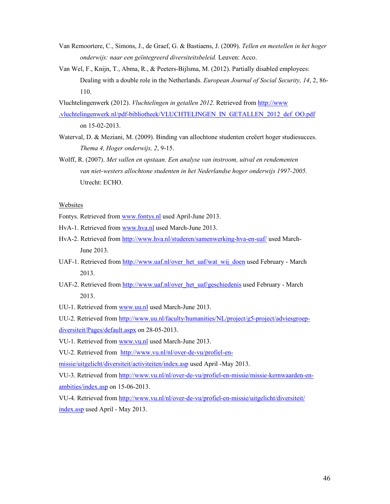- Van Remoortere, C., Simons, J., de Graef, G. & Bastiaens, J. (2009). *Tellen en meetellen in het hoger onderwijs: naar een geïntegreerd diversiteitsbeleid.* Leuven: Acco.
- Van Wel, F., Knijn, T., Abma, R., & Peeters-Bijlsma, M. (2012). Partially disabled employees: Dealing with a double role in the Netherlands. *European Journal of Social Security, 14*, 2, 86- 110.

Vluchtelingenwerk (2012). *Vluchtelingen in getallen 2012.* Retrieved from http://www .vluchtelingenwerk.nl/pdf-bibliotheek/VLUCHTELINGEN\_IN\_GETALLEN\_2012\_def\_OO.pdf

on 15-02-2013.

- Waterval, D. & Meziani, M. (2009). Binding van allochtone studenten creëert hoger studiesucces. *Thema 4, Hoger onderwijs, 2*, 9-15.
- Wolff, R. (2007). *Met vallen en opstaan. Een analyse van instroom, uitval en rendementen van niet-westers allochtone studenten in het Nederlandse hoger onderwijs 1997-2005.*  Utrecht: ECHO.

#### Websites

Fontys. Retrieved from www.fontys.nl used April-June 2013.

HvA-1. Retrieved from www.hva.nl used March-June 2013.

- HvA-2. Retrieved from http://www.hva.nl/studeren/samenwerking-hva-en-uaf/ used March- June 2013.
- UAF-1. Retrieved from http://www.uaf.nl/over\_het\_uaf/wat\_wij\_doen used February March 2013.
- UAF-2. Retrieved from http://www.uaf.nl/over\_het\_uaf/geschiedenis used February March 2013.
- UU-1. Retrieved from www.uu.nl used March-June 2013.

UU-2. Retrieved from http://www.uu.nl/faculty/humanities/NL/project/g5-project/adviesgroepdiversiteit/Pages/default.aspx on 28-05-2013.

VU-1. Retrieved from www.vu.nl used March-June 2013.

VU-2. Retrieved from http://www.vu.nl/nl/over-de-vu/profiel-en-

missie/uitgelicht/diversiteit/activiteiten/index.asp used April -May 2013.

VU-3. Retrieved from http://www.vu.nl/nl/over-de-vu/profiel-en-missie/missie-kernwaarden-enambities/index.asp on 15-06-2013.

VU-4. Retrieved from http://www.vu.nl/nl/over-de-vu/profiel-en-missie/uitgelicht/diversiteit/ index.asp used April - May 2013.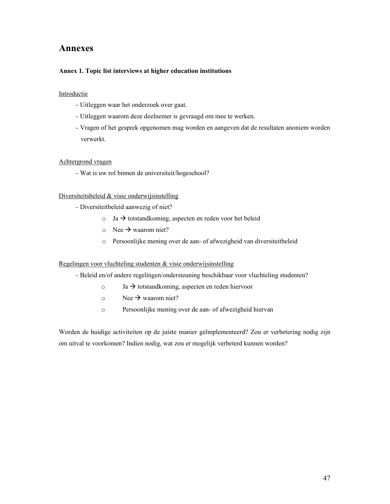## **Annexes**

#### **Annex 1. Topic list interviews at higher education institutions**

#### Introductie

- Uitleggen waar het onderzoek over gaat.
- Uitleggen waarom deze deelnemer is gevraagd om mee te werken.
- Vragen of het gesprek opgenomen mag worden en aangeven dat de resultaten anoniem worden verwerkt.

#### Achtergrond vragen

- Wat is uw rol binnen de universiteit/hogeschool?

#### Diversiteitsbeleid & visie onderwijsinstelling

- Diversiteitbeleid aanwezig of niet?
	- $\circ$  Ja  $\rightarrow$  totstandkoming, aspecten en reden voor het beleid
	- $\circ$  Nee  $\rightarrow$  waarom niet?
	- o Persoonlijke mening over de aan- of afwezigheid van diversiteitbeleid

#### Regelingen voor vluchteling studenten & visie onderwijsinstelling

- Beleid en/of andere regelingen/ondersteuning beschikbaar voor vluchteling studenten?
	- $\circ$  Ja  $\rightarrow$  totstandkoming, aspecten en reden hiervoor
	- $\circ$  Nee  $\rightarrow$  waarom niet?
	- o Persoonlijke mening over de aan- of afwezigheid hiervan

Worden de huidige activiteiten op de juiste manier geïmplementeerd? Zou er verbetering nodig zijn om uitval te voorkomen? Indien nodig, wat zou er mogelijk verbeterd kunnen worden?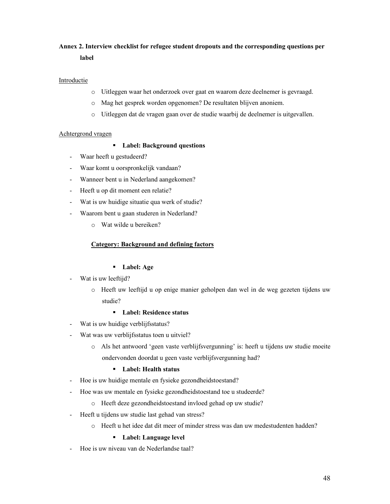## **Annex 2. Interview checklist for refugee student dropouts and the corresponding questions per label**

## Introductie

- o Uitleggen waar het onderzoek over gaat en waarom deze deelnemer is gevraagd.
- o Mag het gesprek worden opgenomen? De resultaten blijven anoniem.
- o Uitleggen dat de vragen gaan over de studie waarbij de deelnemer is uitgevallen.

#### Achtergrond vragen

## - **Label: Background questions**

- Waar heeft u gestudeerd?
- Waar komt u oorspronkelijk vandaan?
- Wanneer bent u in Nederland aangekomen?
- Heeft u op dit moment een relatie?
- Wat is uw huidige situatie qua werk of studie?
- Waarom bent u gaan studeren in Nederland?
	- o Wat wilde u bereiken?

#### **Category: Background and defining factors**

## - **Label: Age**

- Wat is uw leeftijd?
	- o Heeft uw leeftijd u op enige manier geholpen dan wel in de weg gezeten tijdens uw studie?

## - **Label: Residence status**

- Wat is uw huidige verblijfsstatus?
- Wat was uw verblijfsstatus toen u uitviel?
	- o Als het antwoord 'geen vaste verblijfsvergunning' is: heeft u tijdens uw studie moeite ondervonden doordat u geen vaste verblijfsvergunning had?

## - **Label: Health status**

- Hoe is uw huidige mentale en fysieke gezondheidstoestand?
- Hoe was uw mentale en fysieke gezondheidstoestand toe u studeerde?
	- o Heeft deze gezondheidstoestand invloed gehad op uw studie?
- Heeft u tijdens uw studie last gehad van stress?
	- o Heeft u het idee dat dit meer of minder stress was dan uw medestudenten hadden?

## - **Label: Language level**

- Hoe is uw niveau van de Nederlandse taal?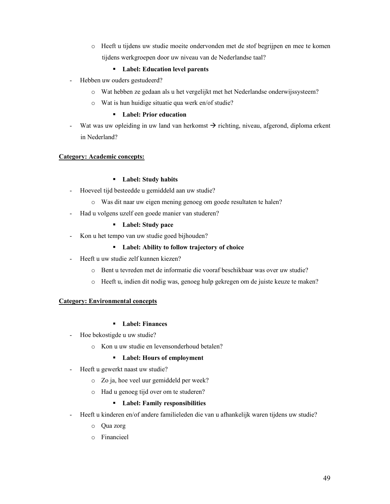o Heeft u tijdens uw studie moeite ondervonden met de stof begrijpen en mee te komen tijdens werkgroepen door uw niveau van de Nederlandse taal?

## - **Label: Education level parents**

- Hebben uw ouders gestudeerd?
	- o Wat hebben ze gedaan als u het vergelijkt met het Nederlandse onderwijssysteem?
	- o Wat is hun huidige situatie qua werk en/of studie?

## - **Label: Prior education**

- Wat was uw opleiding in uw land van herkomst  $\rightarrow$  richting, niveau, afgerond, diploma erkent in Nederland?

#### **Category: Academic concepts:**

## - **Label: Study habits**

- Hoeveel tijd besteedde u gemiddeld aan uw studie?
	- o Was dit naar uw eigen mening genoeg om goede resultaten te halen?
- Had u volgens uzelf een goede manier van studeren?

## - **Label: Study pace**

- Kon u het tempo van uw studie goed bijhouden?

## - **Label: Ability to follow trajectory of choice**

- Heeft u uw studie zelf kunnen kiezen?
	- o Bent u tevreden met de informatie die vooraf beschikbaar was over uw studie?
	- o Heeft u, indien dit nodig was, genoeg hulp gekregen om de juiste keuze te maken?

#### **Category: Environmental concepts**

## - **Label: Finances**

- Hoe bekostigde u uw studie?
	- o Kon u uw studie en levensonderhoud betalen?

## - **Label: Hours of employment**

- Heeft u gewerkt naast uw studie?
	- o Zo ja, hoe veel uur gemiddeld per week?
	- o Had u genoeg tijd over om te studeren?

## - **Label: Family responsibilities**

- Heeft u kinderen en/of andere familieleden die van u afhankelijk waren tijdens uw studie?
	- o Qua zorg
	- o Financieel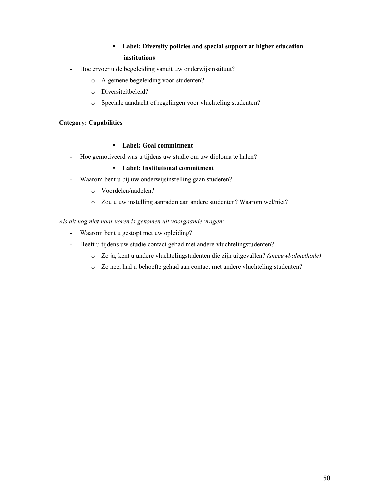## - **Label: Diversity policies and special support at higher education institutions**

- Hoe ervoer u de begeleiding vanuit uw onderwijsinstituut?
	- o Algemene begeleiding voor studenten?
	- o Diversiteitbeleid?
	- o Speciale aandacht of regelingen voor vluchteling studenten?

## **Category: Capabilities**

## - **Label: Goal commitment**

- Hoe gemotiveerd was u tijdens uw studie om uw diploma te halen?

## - **Label: Institutional commitment**

- Waarom bent u bij uw onderwijsinstelling gaan studeren?
	- o Voordelen/nadelen?
	- o Zou u uw instelling aanraden aan andere studenten? Waarom wel/niet?

#### *Als dit nog niet naar voren is gekomen uit voorgaande vragen:*

- Waarom bent u gestopt met uw opleiding?
- Heeft u tijdens uw studie contact gehad met andere vluchtelingstudenten?
	- o Zo ja, kent u andere vluchtelingstudenten die zijn uitgevallen? *(sneeuwbalmethode)*
	- o Zo nee, had u behoefte gehad aan contact met andere vluchteling studenten?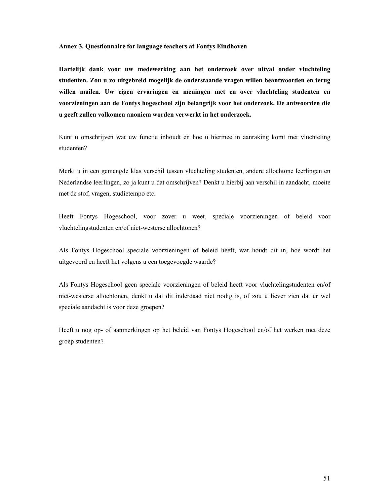#### **Annex 3. Questionnaire for language teachers at Fontys Eindhoven**

**Hartelijk dank voor uw medewerking aan het onderzoek over uitval onder vluchteling studenten. Zou u zo uitgebreid mogelijk de onderstaande vragen willen beantwoorden en terug willen mailen. Uw eigen ervaringen en meningen met en over vluchteling studenten en voorzieningen aan de Fontys hogeschool zijn belangrijk voor het onderzoek. De antwoorden die u geeft zullen volkomen anoniem worden verwerkt in het onderzoek.** 

Kunt u omschrijven wat uw functie inhoudt en hoe u hiermee in aanraking komt met vluchteling studenten?

Merkt u in een gemengde klas verschil tussen vluchteling studenten, andere allochtone leerlingen en Nederlandse leerlingen, zo ja kunt u dat omschrijven? Denkt u hierbij aan verschil in aandacht, moeite met de stof, vragen, studietempo etc.

Heeft Fontys Hogeschool, voor zover u weet, speciale voorzieningen of beleid voor vluchtelingstudenten en/of niet-westerse allochtonen?

Als Fontys Hogeschool speciale voorzieningen of beleid heeft, wat houdt dit in, hoe wordt het uitgevoerd en heeft het volgens u een toegevoegde waarde?

Als Fontys Hogeschool geen speciale voorzieningen of beleid heeft voor vluchtelingstudenten en/of niet-westerse allochtonen, denkt u dat dit inderdaad niet nodig is, of zou u liever zien dat er wel speciale aandacht is voor deze groepen?

Heeft u nog op- of aanmerkingen op het beleid van Fontys Hogeschool en/of het werken met deze groep studenten?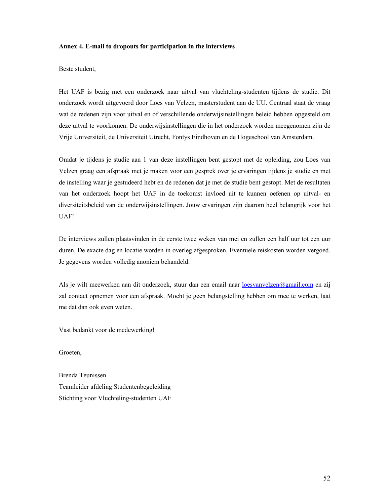#### **Annex 4. E-mail to dropouts for participation in the interviews**

Beste student,

Het UAF is bezig met een onderzoek naar uitval van vluchteling-studenten tijdens de studie. Dit onderzoek wordt uitgevoerd door Loes van Velzen, masterstudent aan de UU. Centraal staat de vraag wat de redenen zijn voor uitval en of verschillende onderwijsinstellingen beleid hebben opgesteld om deze uitval te voorkomen. De onderwijsinstellingen die in het onderzoek worden meegenomen zijn de Vrije Universiteit, de Universiteit Utrecht, Fontys Eindhoven en de Hogeschool van Amsterdam.

Omdat je tijdens je studie aan 1 van deze instellingen bent gestopt met de opleiding, zou Loes van Velzen graag een afspraak met je maken voor een gesprek over je ervaringen tijdens je studie en met de instelling waar je gestudeerd hebt en de redenen dat je met de studie bent gestopt. Met de resultaten van het onderzoek hoopt het UAF in de toekomst invloed uit te kunnen oefenen op uitval- en diversiteitsbeleid van de onderwijsinstellingen. Jouw ervaringen zijn daarom heel belangrijk voor het UAF!

De interviews zullen plaatsvinden in de eerste twee weken van mei en zullen een half uur tot een uur duren. De exacte dag en locatie worden in overleg afgesproken. Eventuele reiskosten worden vergoed. Je gegevens worden volledig anoniem behandeld.

Als je wilt meewerken aan dit onderzoek, stuur dan een email naar loesvanvelzen@gmail.com en zij zal contact opnemen voor een afspraak. Mocht je geen belangstelling hebben om mee te werken, laat me dat dan ook even weten.

Vast bedankt voor de medewerking!

Groeten,

Brenda Teunissen Teamleider afdeling Studentenbegeleiding Stichting voor Vluchteling-studenten UAF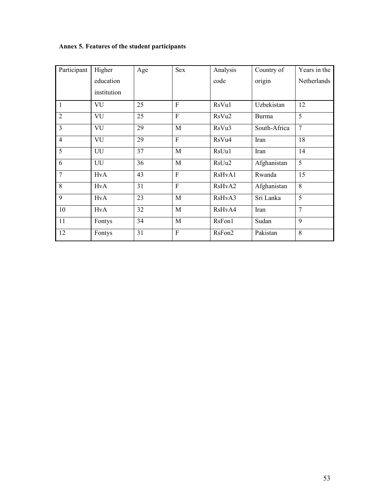## **Annex 5. Features of the student participants**

| Participant    | Higher      | Age | <b>Sex</b>     | Analysis | Country of   | Years in the   |
|----------------|-------------|-----|----------------|----------|--------------|----------------|
|                | education   |     |                | code     | origin       | Netherlands    |
|                | institution |     |                |          |              |                |
| 1              | VU          | 25  | $\mathbf{F}$   | RsVu1    | Uzbekistan   | 12             |
| $\overline{2}$ | VU          | 25  | $\mathbf{F}$   | RsVu2    | <b>Burma</b> | 5              |
| $\overline{3}$ | VU          | 29  | M              | RsVu3    | South-Africa | $\overline{7}$ |
| $\overline{4}$ | <b>VU</b>   | 29  | $\mathbf{F}$   | RsVu4    | Iran         | 18             |
| 5              | UU          | 37  | M              | RsUu1    | Iran         | 14             |
| 6              | UU          | 36  | M              | RsUu2    | Afghanistan  | 5              |
| $\overline{7}$ | <b>HvA</b>  | 43  | $\overline{F}$ | RsHvA1   | Rwanda       | 15             |
| 8              | <b>HvA</b>  | 31  | $\overline{F}$ | RsHvA2   | Afghanistan  | 8              |
| $\overline{9}$ | <b>HvA</b>  | 23  | M              | RsHvA3   | Sri Lanka    | 5              |
| 10             | <b>HvA</b>  | 32  | $\mathbf{M}$   | RsHvA4   | Iran         | $\overline{7}$ |
| 11             | Fontys      | 34  | M              | RsFon1   | Sudan        | 9              |
| 12             | Fontys      | 31  | $\mathbf F$    | RsFon2   | Pakistan     | 8              |